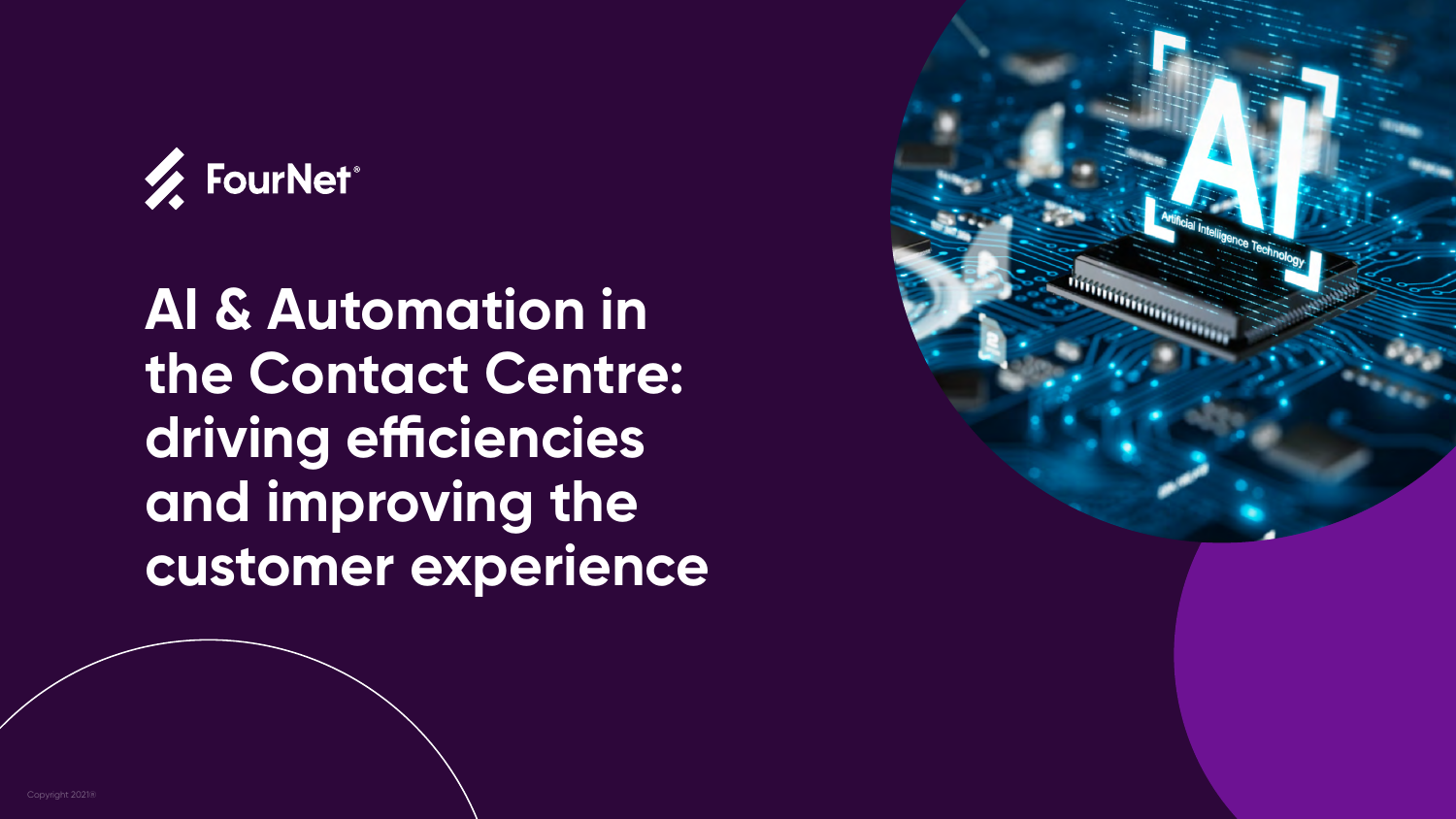



### **AI & Automation in the Contact Centre: driving efficiencies and improving the customer experience**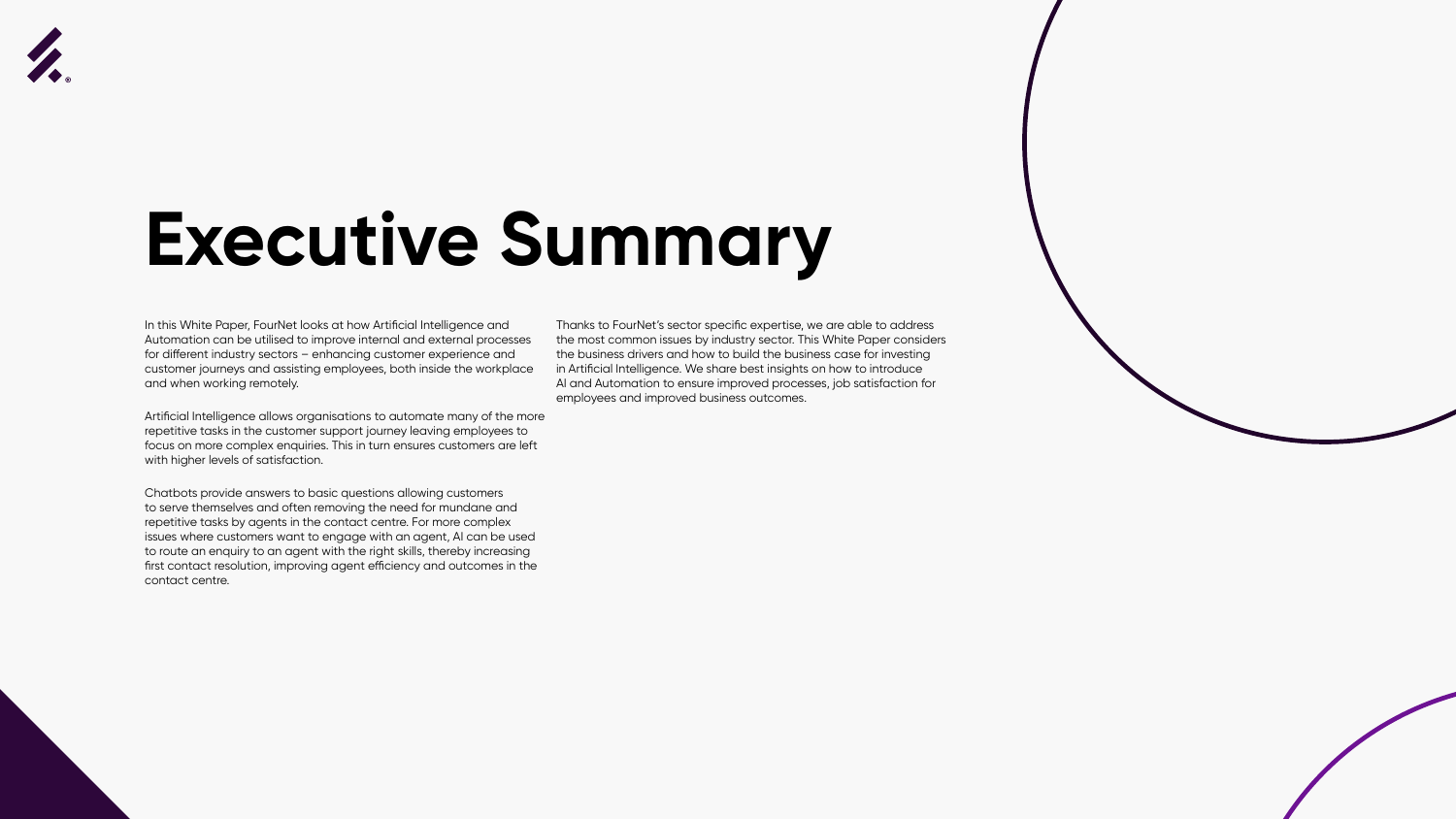

### **Executive Summary**

In this White Paper, FourNet looks at how Artificial Intelligence and Automation can be utilised to improve internal and external processes for different industry sectors – enhancing customer experience and customer journeys and assisting employees, both inside the workplace and when working remotely.

Artificial Intelligence allows organisations to automate many of the more repetitive tasks in the customer support journey leaving employees to focus on more complex enquiries. This in turn ensures customers are left with higher levels of satisfaction.

Chatbots provide answers to basic questions allowing customers to serve themselves and often removing the need for mundane and repetitive tasks by agents in the contact centre. For more complex issues where customers want to engage with an agent, AI can be used to route an enquiry to an agent with the right skills, thereby increasing first contact resolution, improving agent efficiency and outcomes in the contact centre.

Thanks to FourNet's sector specific expertise, we are able to address the most common issues by industry sector. This White Paper considers the business drivers and how to build the business case for investing in Artificial Intelligence. We share best insights on how to introduce AI and Automation to ensure improved processes, job satisfaction for employees and improved business outcomes.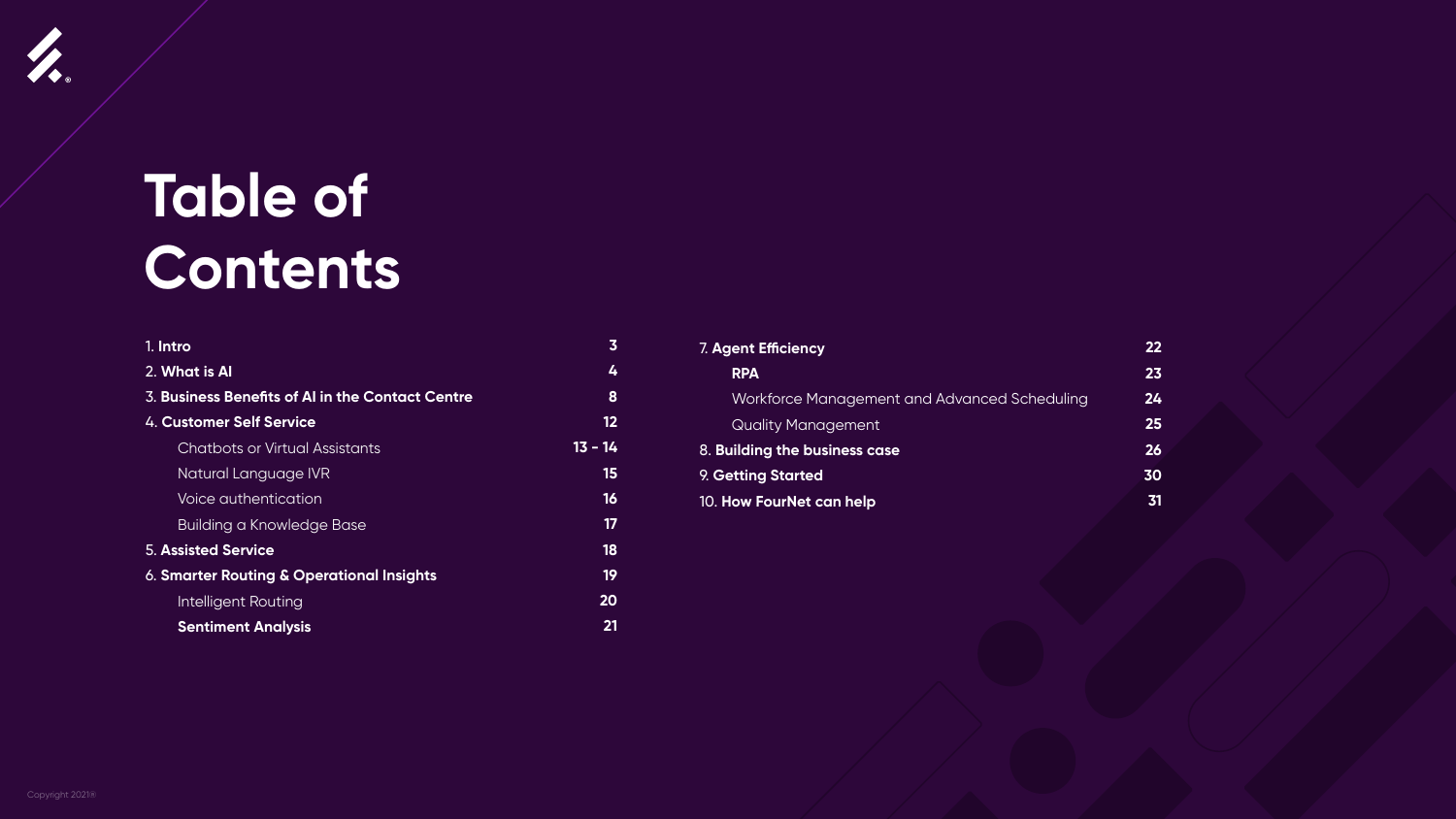### **Table of Contents**

| 1. Intro                                         | 3       |
|--------------------------------------------------|---------|
| 2. What is Al                                    | 4       |
| 3. Business Benefits of AI in the Contact Centre | 8       |
| 4. Customer Self Service                         | 12      |
| <b>Chatbots or Virtual Assistants</b>            | 13 - 14 |
| Natural Language IVR                             | 15      |
| Voice authentication                             | 16      |
| <b>Building a Knowledge Base</b>                 | 17      |
| <b>5. Assisted Service</b>                       | 18      |
| 6. Smarter Routing & Operational Insights        | 19      |
| <b>Intelligent Routing</b>                       | 20      |
| <b>Sentiment Analysis</b>                        | 21      |

| <b>7. Agent Efficiency</b>                   | 22        |
|----------------------------------------------|-----------|
| <b>RPA</b>                                   | 23        |
| Workforce Management and Advanced Scheduling | 24        |
| <b>Quality Management</b>                    | 25        |
| 8. Building the business case                | 26        |
| 9. Getting Started                           | 30        |
| 10. How FourNet can help                     | <b>31</b> |

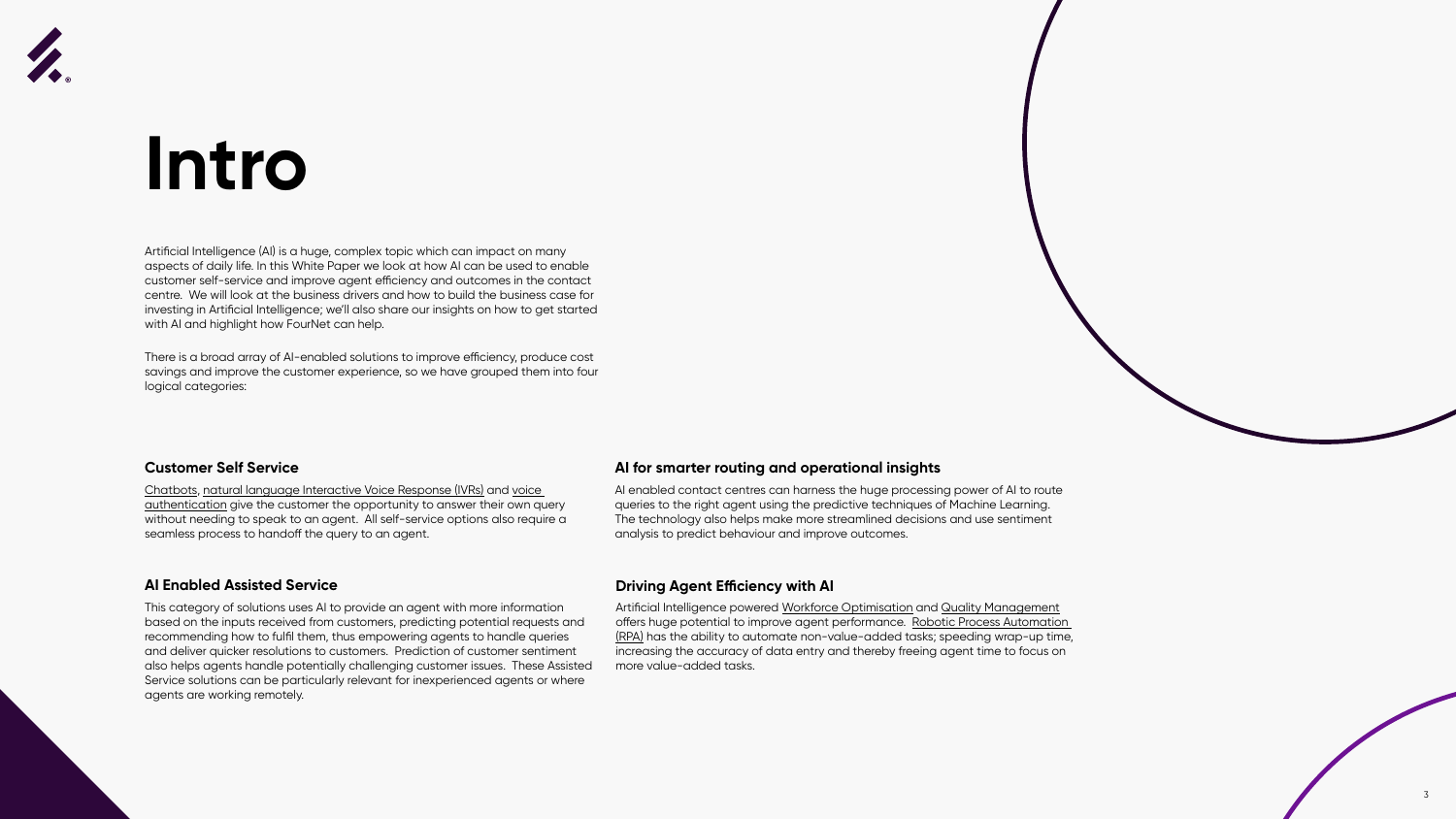

### **Intro**

Artificial Intelligence (AI) is a huge, complex topic which can impact on many aspects of daily life. In this White Paper we look at how AI can be used to enable customer self-service and improve agent efficiency and outcomes in the contact centre. We will look at the business drivers and how to build the business case for investing in Artificial Intelligence; we'll also share our insights on how to get started with AI and highlight how FourNet can help.

There is a broad array of AI-enabled solutions to improve efficiency, produce cost savings and improve the customer experience, so we have grouped them into four logical categories:



#### **Customer Self Service**

Chatbots, natural language Interactive Voice Response (IVRs) and voice authentication give the customer the opportunity to answer their own query without needing to speak to an agent. All self-service options also require a seamless process to handoff the query to an agent.

#### **AI Enabled Assisted Service**

This category of solutions uses AI to provide an agent with more information based on the inputs received from customers, predicting potential requests and recommending how to fulfil them, thus empowering agents to handle queries and deliver quicker resolutions to customers. Prediction of customer sentiment also helps agents handle potentially challenging customer issues. These Assisted Service solutions can be particularly relevant for inexperienced agents or where agents are working remotely.

#### **AI for smarter routing and operational insights**

AI enabled contact centres can harness the huge processing power of AI to route queries to the right agent using the predictive techniques of Machine Learning. The technology also helps make more streamlined decisions and use sentiment analysis to predict behaviour and improve outcomes.

#### **Driving Agent Efficiency with AI**

Artificial Intelligence powered Workforce Optimisation and Quality Management offers huge potential to improve agent performance. Robotic Process Automation (RPA) has the ability to automate non-value-added tasks; speeding wrap-up time, increasing the accuracy of data entry and thereby freeing agent time to focus on more value-added tasks.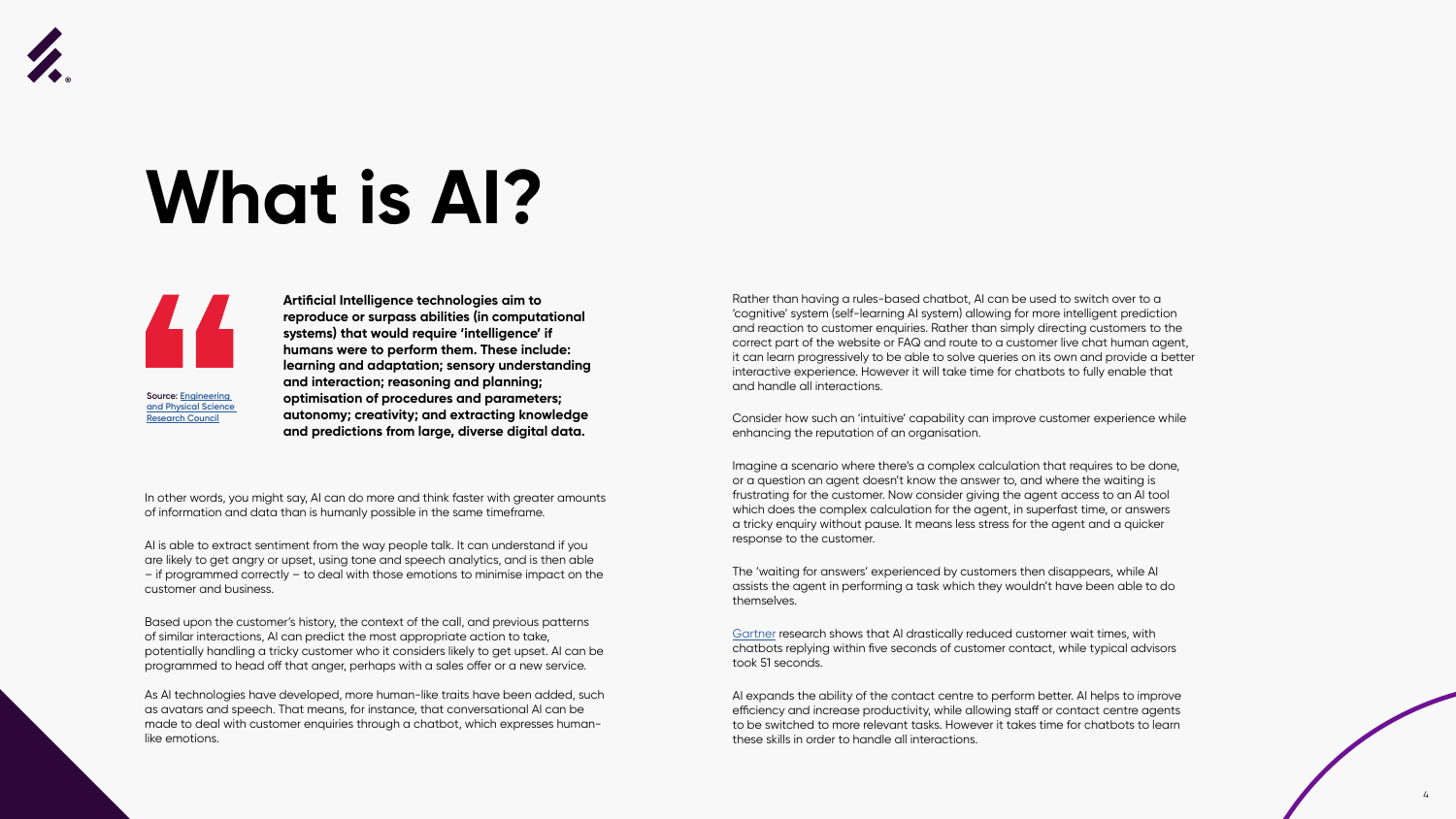

## **What is AI?**



In other words, you might say, AI can do more and think faster with greater amounts of information and data than is humanly possible in the same timeframe.

AI is able to extract sentiment from the way people talk. It can understand if you are likely to get angry or upset, using tone and speech analytics, and is then able – if programmed correctly – to deal with those emotions to minimise impact on the customer and business.

Based upon the customer's history, the context of the call, and previous patterns of similar interactions, AI can predict the most appropriate action to take, potentially handling a tricky customer who it considers likely to get upset. AI can be programmed to head off that anger, perhaps with a sales offer or a new service.

As AI technologies have developed, more human-like traits have been added, such as avatars and speech. That means, for instance, that conversational AI can be made to deal with customer enquiries through a chatbot, which expresses humanlike emotions.

Rather than having a rules-based chatbot, AI can be used to switch over to a 'cognitive' system (self-learning AI system) allowing for more intelligent prediction and reaction to customer enquiries. Rather than simply directing customers to the correct part of the website or FAQ and route to a customer live chat human agent, it can learn progressively to be able to solve queries on its own and provide a better interactive experience. However it will take time for chatbots to fully enable that and handle all interactions.

Consider how such an 'intuitive' capability can improve customer experience while enhancing the reputation of an organisation.

Imagine a scenario where there's a complex calculation that requires to be done, or a question an agent doesn't know the answer to, and where the waiting is frustrating for the customer. Now consider giving the agent access to an AI tool which does the complex calculation for the agent, in superfast time, or answers a tricky enquiry without pause. It means less stress for the agent and a quicker response to the customer.

The 'waiting for answers' experienced by customers then disappears, while AI assists the agent in performing a task which they wouldn't have been able to do themselves.

[Gartner](https://www.gartner.com/smarterwithgartner/bots-gain-importance-in-gartner-service-technologies-bullseye) research shows that AI drastically reduced customer wait times, with chatbots replying within five seconds of customer contact, while typical advisors took 51 seconds.

AI expands the ability of the contact centre to perform better. AI helps to improve efficiency and increase productivity, while allowing staff or contact centre agents to be switched to more relevant tasks. However it takes time for chatbots to learn these skills in order to handle all interactions.



**Artificial Intelligence technologies aim to reproduce or surpass abilities (in computational systems) that would require 'intelligence' if humans were to perform them. These include: learning and adaptation; sensory understanding and interaction; reasoning and planning; optimisation of procedures and parameters; autonomy; creativity; and extracting knowledge and predictions from large, diverse digital data.**

**Source: [Engineering](https://epsrc.ukri.org)  [and Physical Science](https://epsrc.ukri.org)  [Research Council](https://epsrc.ukri.org)**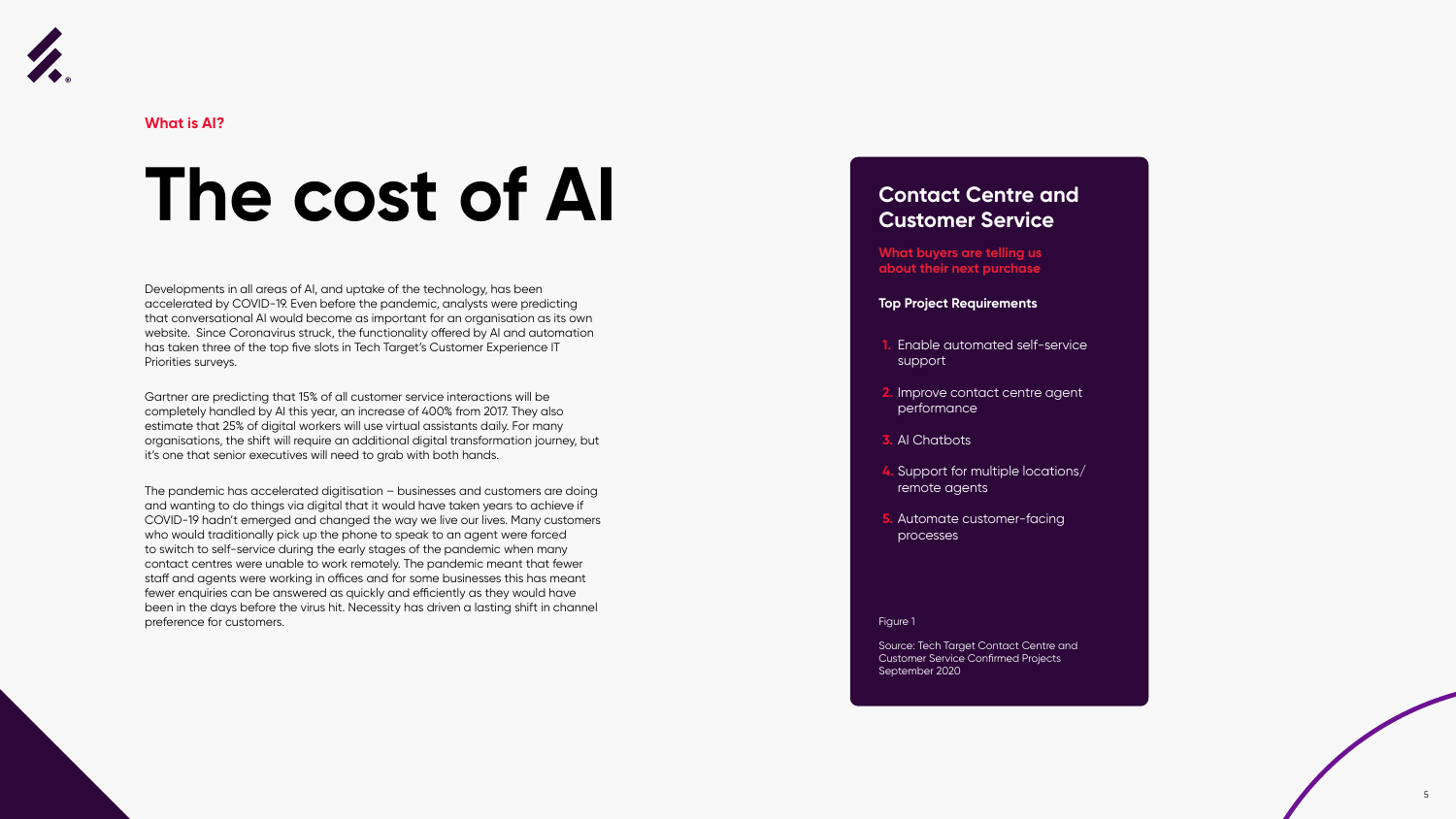Developments in all areas of AI, and uptake of the technology, has been accelerated by COVID-19. Even before the pandemic, analysts were predicting that conversational AI would become as important for an organisation as its own website. Since Coronavirus struck, the functionality offered by AI and automation has taken three of the top five slots in Tech Target's Customer Experience IT Priorities surveys.

Gartner are predicting that 15% of all customer service interactions will be completely handled by AI this year, an increase of 400% from 2017. They also estimate that 25% of digital workers will use virtual assistants daily. For many organisations, the shift will require an additional digital transformation journey, but it's one that senior executives will need to grab with both hands.

The pandemic has accelerated digitisation – businesses and customers are doing and wanting to do things via digital that it would have taken years to achieve if COVID-19 hadn't emerged and changed the way we live our lives. Many customers who would traditionally pick up the phone to speak to an agent were forced to switch to self-service during the early stages of the pandemic when many contact centres were unable to work remotely. The pandemic meant that fewer staff and agents were working in offices and for some businesses this has meant fewer enquiries can be answered as quickly and efficiently as they would have been in the days before the virus hit. Necessity has driven a lasting shift in channel preference for customers.

5

<span id="page-5-0"></span>

**What is AI?**

### **The cost of AI**

#### **Top Project Requirements**

**What buyers are telling us about their next purchase**

#### **Contact Centre and Customer Service**

- **1.** Enable automated self-service support
- **2.** Improve contact centre agent performance
- **3.** AI Chatbots
- **4.** Support for multiple locations/ remote agents
- **5.** Automate customer-facing processes

Figure 1

Source: Tech Target Contact Centre and Customer Service Confirmed Projects September 2020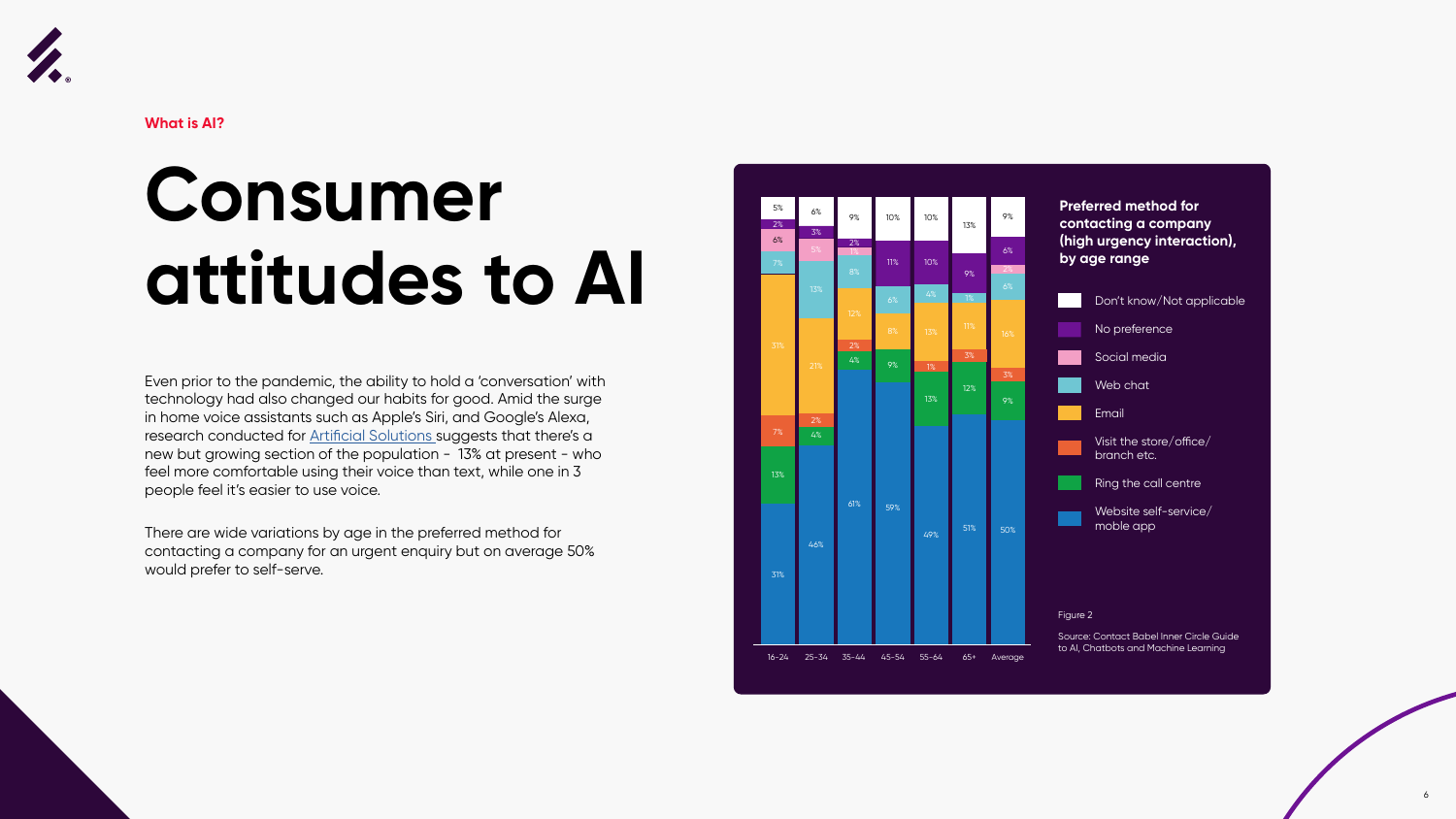



**What is AI?**

### **Consumer attitudes to AI**

Even prior to the pandemic, the ability to hold a 'conversation' with technology had also changed our habits for good. Amid the surge in home voice assistants such as Apple's Siri, and Google's Alexa, research conducted for **Artificial Solutions** suggests that there's a new but growing section of the population - 13% at present - who feel more comfortable using their voice than text, while one in 3 people feel it's easier to use voice.

There are wide variations by age in the preferred method for contacting a company for an urgent enquiry but on average 50% would prefer to self-serve.

#### **Preferred method for contacting a company (high urgency interaction), by age range**





Source: Contact Babel Inner Circle Guide to AI, Chatbots and Machine Learning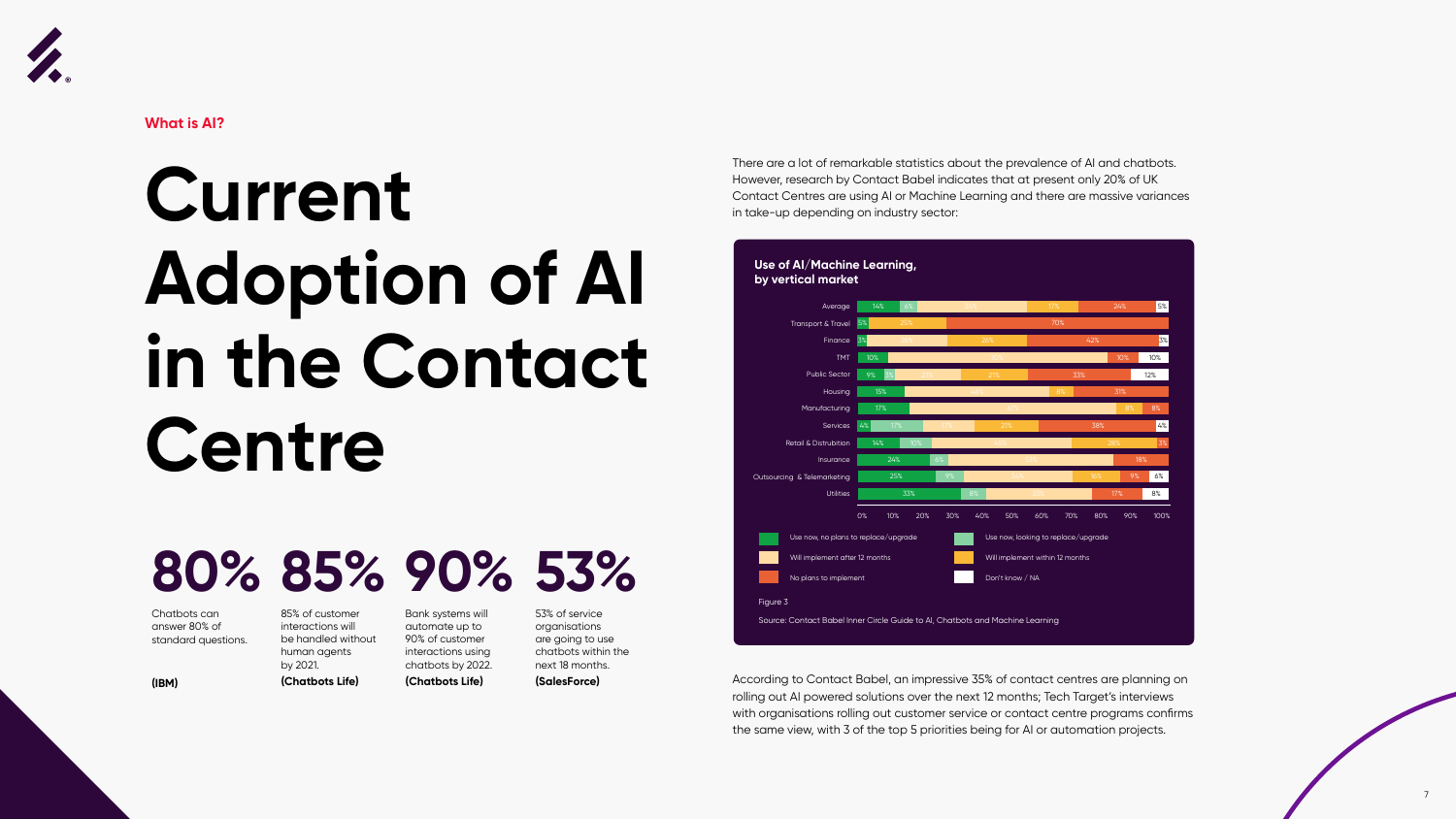



**What is AI?**

### **Current Adoption of AI in the Contact Centre**

There are a lot of remarkable statistics about the prevalence of AI and chatbots. However, research by Contact Babel indicates that at present only 20% of UK Contact Centres are using AI or Machine Learning and there are massive variances in take-up depending on industry sector:

According to Contact Babel, an impressive 35% of contact centres are planning on rolling out AI powered solutions over the next 12 months; Tech Target's interviews with organisations rolling out customer service or contact centre programs confirms the same view, with 3 of the top 5 priorities being for AI or automation projects.



Chatbots can answer 80% of standard questions.

**(IBM)**

85% of customer interactions will be handled without human agents by 2021.

### **80% 85% 90% 53%**

**(Chatbots Life)**

Bank systems will automate up to 90% of customer interactions using chatbots by 2022. **(Chatbots Life)**

53% of service organisations are going to use chatbots within the next 18 months. **(SalesForce)**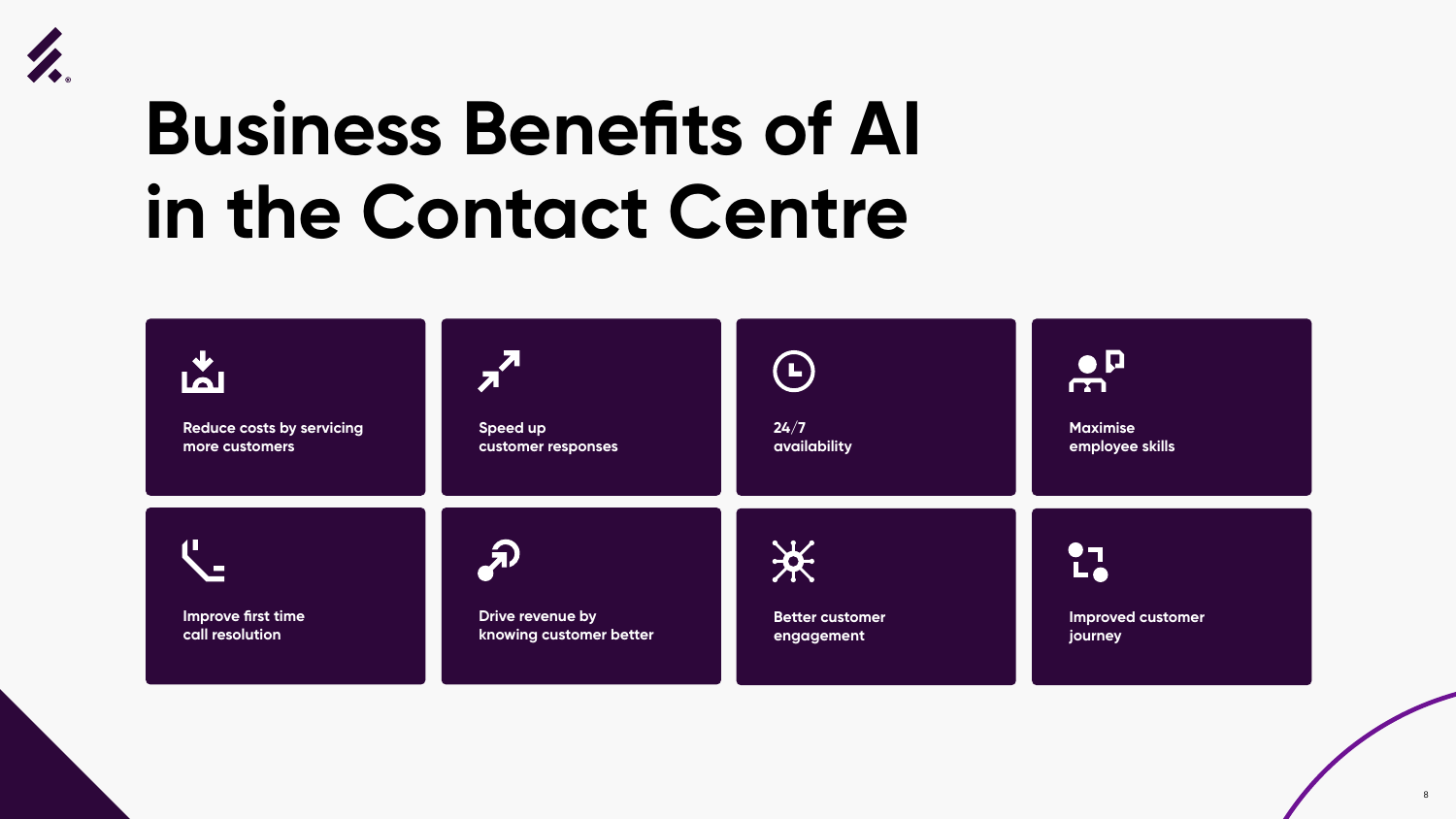





## **Business Benefits of AI in the Contact Centre**



**Reduce costs by servicing more customers**

**Speed up customer responses**

**Improve first time call resolution**



**Drive revenue by knowing customer better**



**24/7 availability**

#### $\bullet$  $\sqrt{1}$

 $17<sub>o</sub>$ 

**Better customer engagement**

**Maximise employee skills**

\*

**Improved customer journey**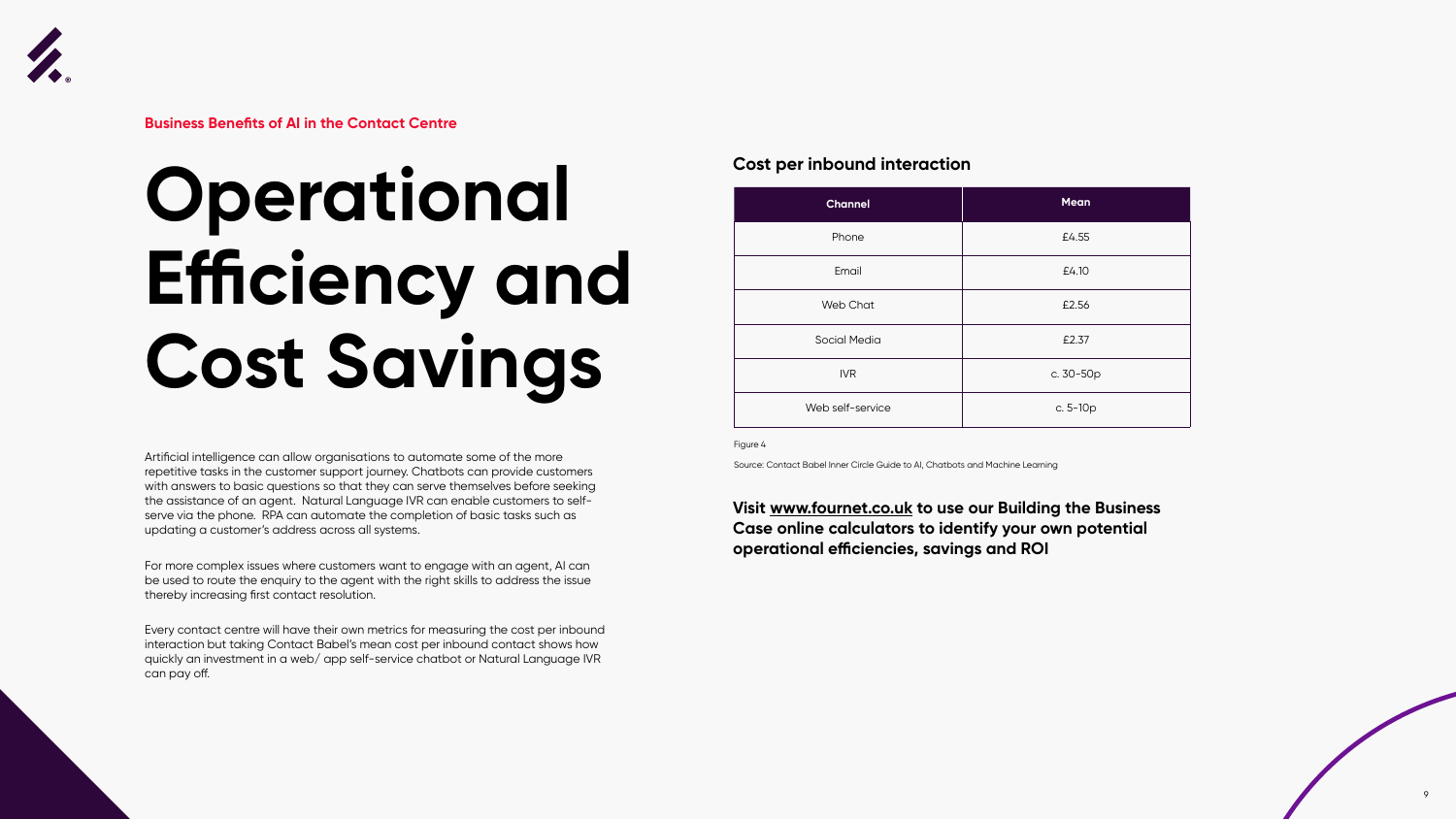



**Business Benefits of AI in the Contact Centre**

## **Operational Efficiency and Cost Savings**

Artificial intelligence can allow organisations to automate some of the more repetitive tasks in the customer support journey. Chatbots can provide customers with answers to basic questions so that they can serve themselves before seeking the assistance of an agent. Natural Language IVR can enable customers to selfserve via the phone. RPA can automate the completion of basic tasks such as updating a customer's address across all systems.

For more complex issues where customers want to engage with an agent, AI can be used to route the enquiry to the agent with the right skills to address the issue thereby increasing first contact resolution.

Every contact centre will have their own metrics for measuring the cost per inbound interaction but taking Contact Babel's mean cost per inbound contact shows how quickly an investment in a web/ app self-service chatbot or Natural Language IVR can pay off.

#### **Visit www.fournet.co.uk to use our Building the Business Case online calculators to identify your own potential operational efficiencies, savings and ROI**

#### **Cost per inbound interaction**

| <b>Channel</b>      | <b>Mean</b> |
|---------------------|-------------|
| Phone               | £4.55       |
| Email               | £4.10       |
| Web Chat            | £2.56       |
| <b>Social Media</b> | £2.37       |
| <b>IVR</b>          | c. 30-50p   |
| Web self-service    | c. $5-10p$  |

Figure 4

Source: Contact Babel Inner Circle Guide to AI, Chatbots and Machine Learning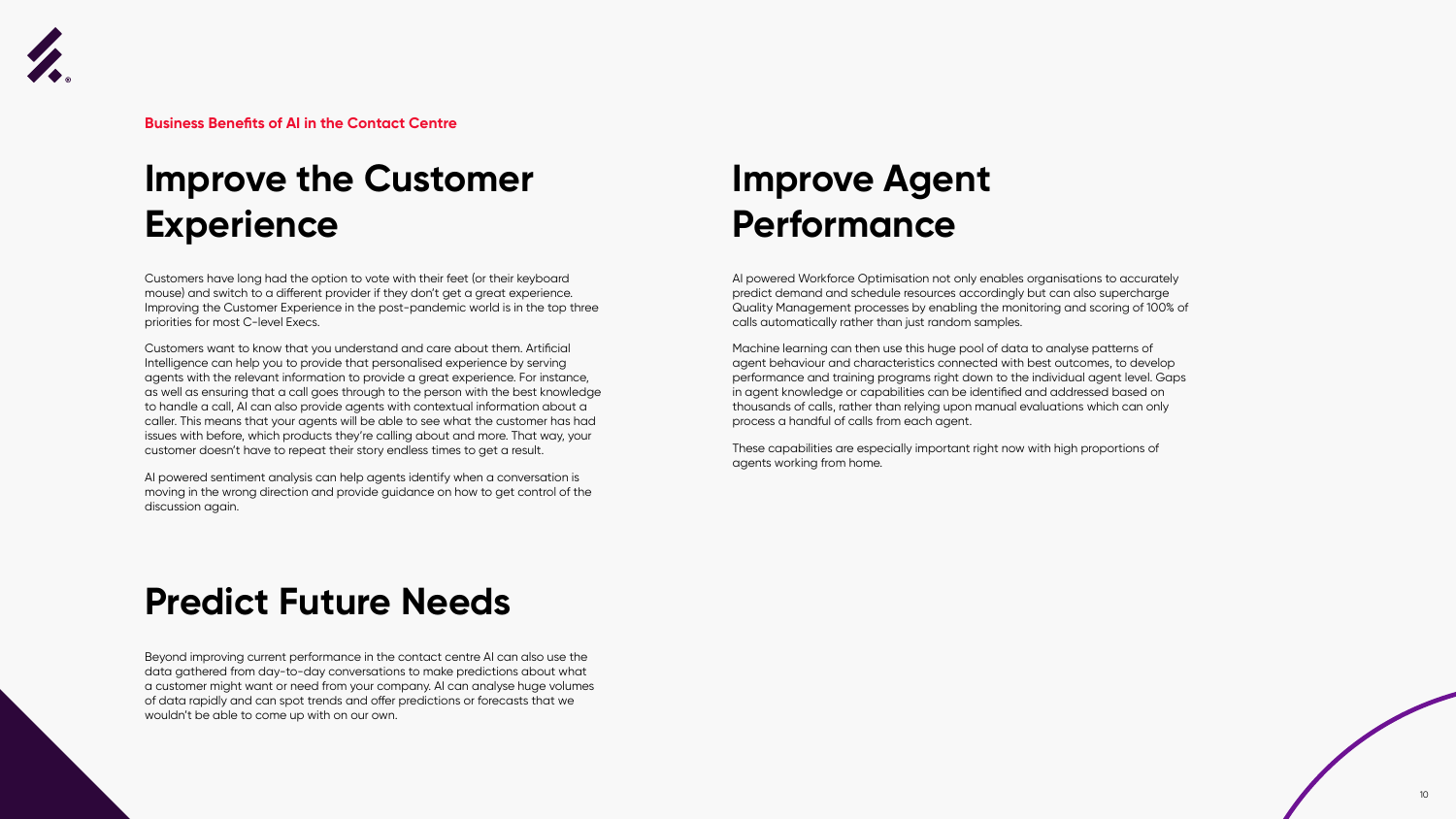Customers have long had the option to vote with their feet (or their keyboard mouse) and switch to a different provider if they don't get a great experience. Improving the Customer Experience in the post-pandemic world is in the top three priorities for most C-level Execs.

Customers want to know that you understand and care about them. Artificial Intelligence can help you to provide that personalised experience by serving agents with the relevant information to provide a great experience. For instance, as well as ensuring that a call goes through to the person with the best knowledge to handle a call, AI can also provide agents with contextual information about a caller. This means that your agents will be able to see what the customer has had issues with before, which products they're calling about and more. That way, your customer doesn't have to repeat their story endless times to get a result.

AI powered sentiment analysis can help agents identify when a conversation is moving in the wrong direction and provide guidance on how to get control of the discussion again.

Beyond improving current performance in the contact centre AI can also use the data gathered from day-to-day conversations to make predictions about what a customer might want or need from your company. AI can analyse huge volumes of data rapidly and can spot trends and offer predictions or forecasts that we wouldn't be able to come up with on our own.

AI powered Workforce Optimisation not only enables organisations to accurately predict demand and schedule resources accordingly but can also supercharge Quality Management processes by enabling the monitoring and scoring of 100% of calls automatically rather than just random samples.

Machine learning can then use this huge pool of data to analyse patterns of agent behaviour and characteristics connected with best outcomes, to develop performance and training programs right down to the individual agent level. Gaps in agent knowledge or capabilities can be identified and addressed based on thousands of calls, rather than relying upon manual evaluations which can only process a handful of calls from each agent.

These capabilities are especially important right now with high proportions of agents working from home.





**Business Benefits of AI in the Contact Centre**

### **Improve the Customer Experience**

### **Predict Future Needs**

### **Improve Agent Performance**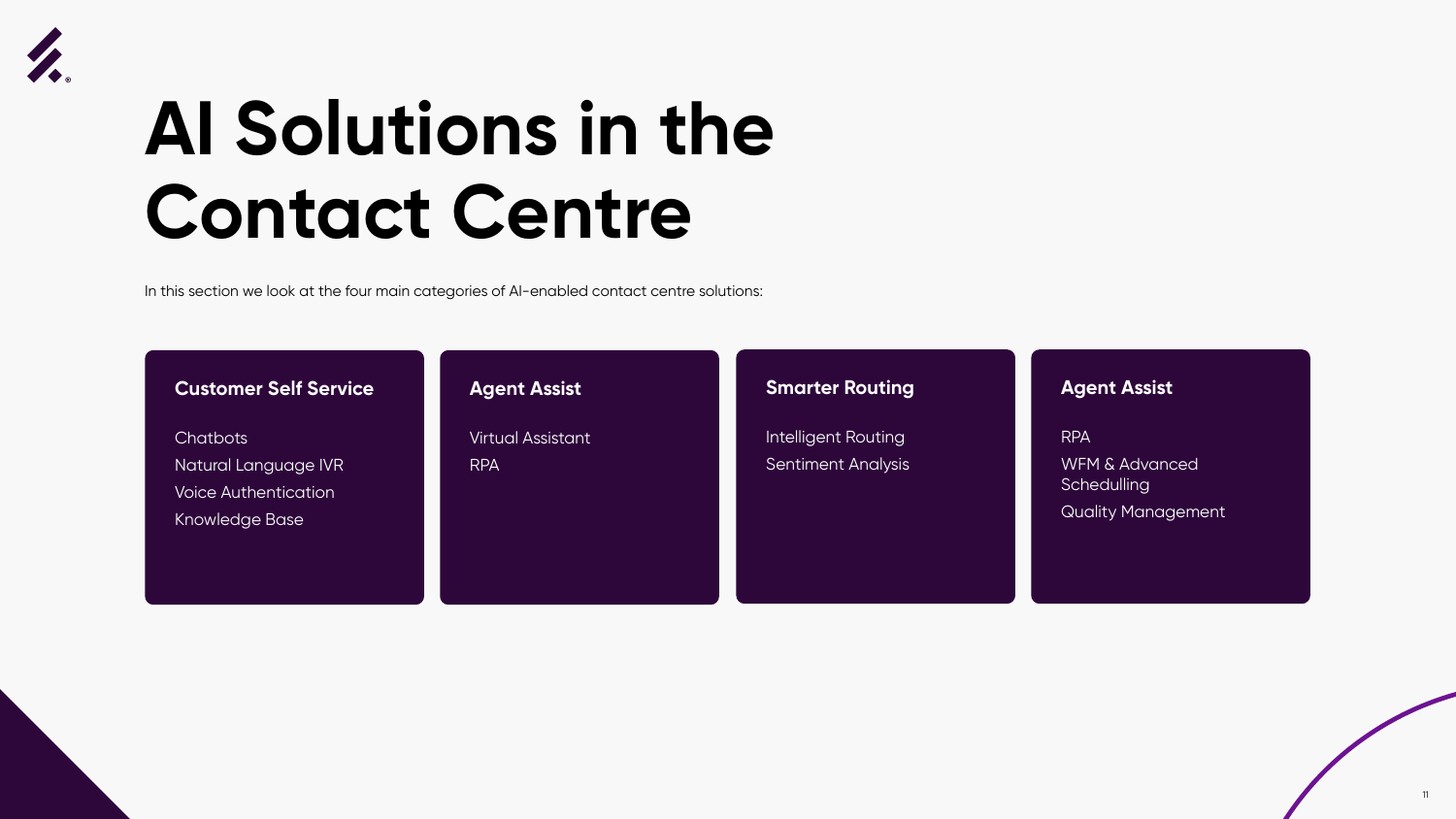



### **AI Solutions in the Contact Centre**



In this section we look at the four main categories of AI-enabled contact centre solutions:

**Chatbots** Natural Language IVR Voice Authentication Knowledge Base

#### **Customer Self Service**

#### **Smarter Routing**

Intelligent Routing Sentiment Analysis

#### **Agent Assist**

Virtual Assistant RPA

#### **Agent Assist**

RPA WFM & Advanced **Schedulling** Quality Management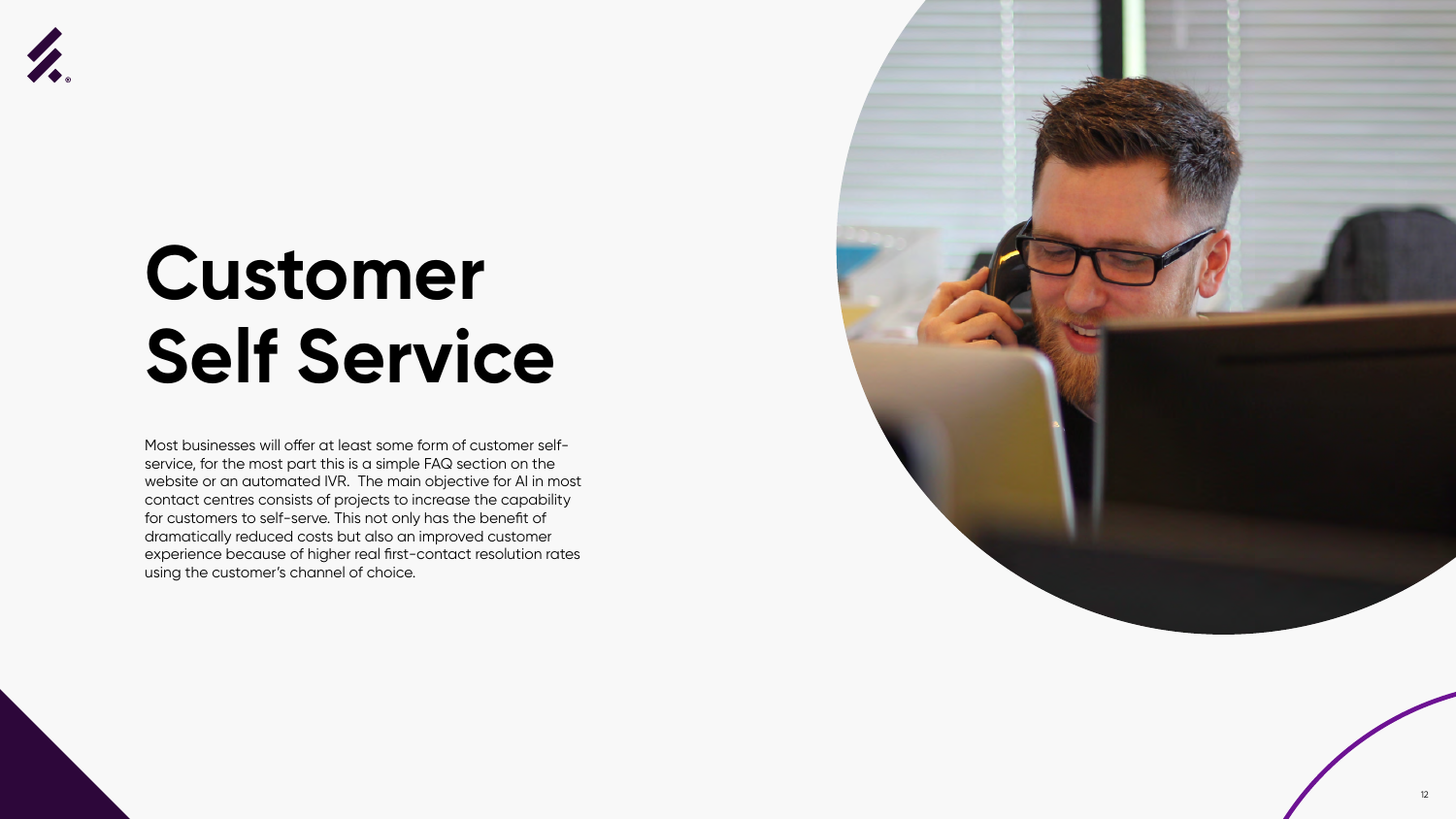



### **Customer Self Service**

Most businesses will offer at least some form of customer selfservice, for the most part this is a simple FAQ section on the website or an automated IVR. The main objective for AI in most contact centres consists of projects to increase the capability for customers to self-serve. This not only has the benefit of dramatically reduced costs but also an improved customer experience because of higher real first-contact resolution rates using the customer's channel of choice.

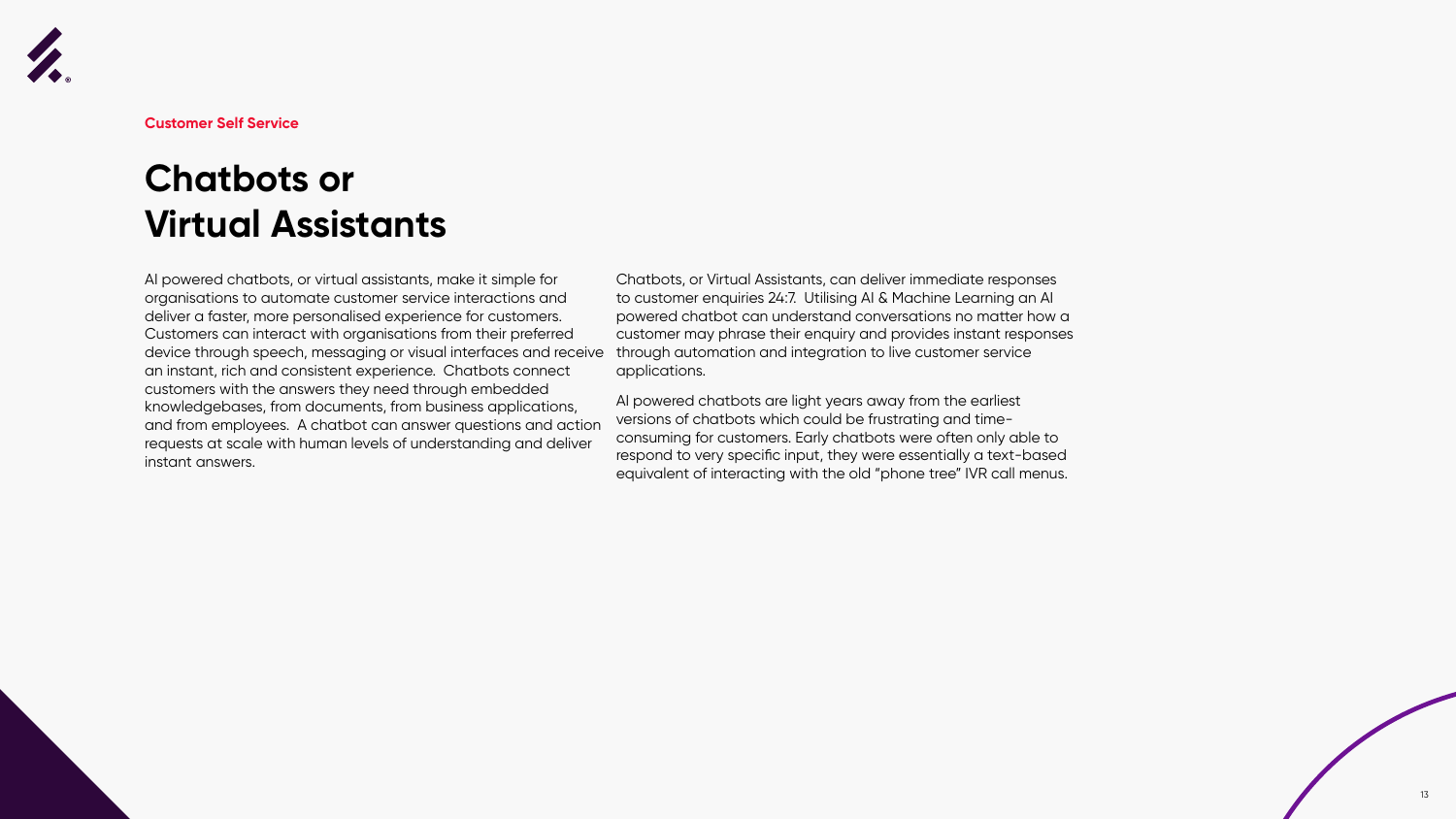



AI powered chatbots, or virtual assistants, make it simple for organisations to automate customer service interactions and deliver a faster, more personalised experience for customers. Customers can interact with organisations from their preferred device through speech, messaging or visual interfaces and receive an instant, rich and consistent experience. Chatbots connect customers with the answers they need through embedded knowledgebases, from documents, from business applications, and from employees. A chatbot can answer questions and action requests at scale with human levels of understanding and deliver instant answers.

Chatbots, or Virtual Assistants, can deliver immediate responses to customer enquiries 24:7. Utilising AI & Machine Learning an AI powered chatbot can understand conversations no matter how a customer may phrase their enquiry and provides instant responses through automation and integration to live customer service applications.

AI powered chatbots are light years away from the earliest versions of chatbots which could be frustrating and timeconsuming for customers. Early chatbots were often only able to respond to very specific input, they were essentially a text-based equivalent of interacting with the old "phone tree" IVR call menus.



**Customer Self Service**

### **Chatbots or Virtual Assistants**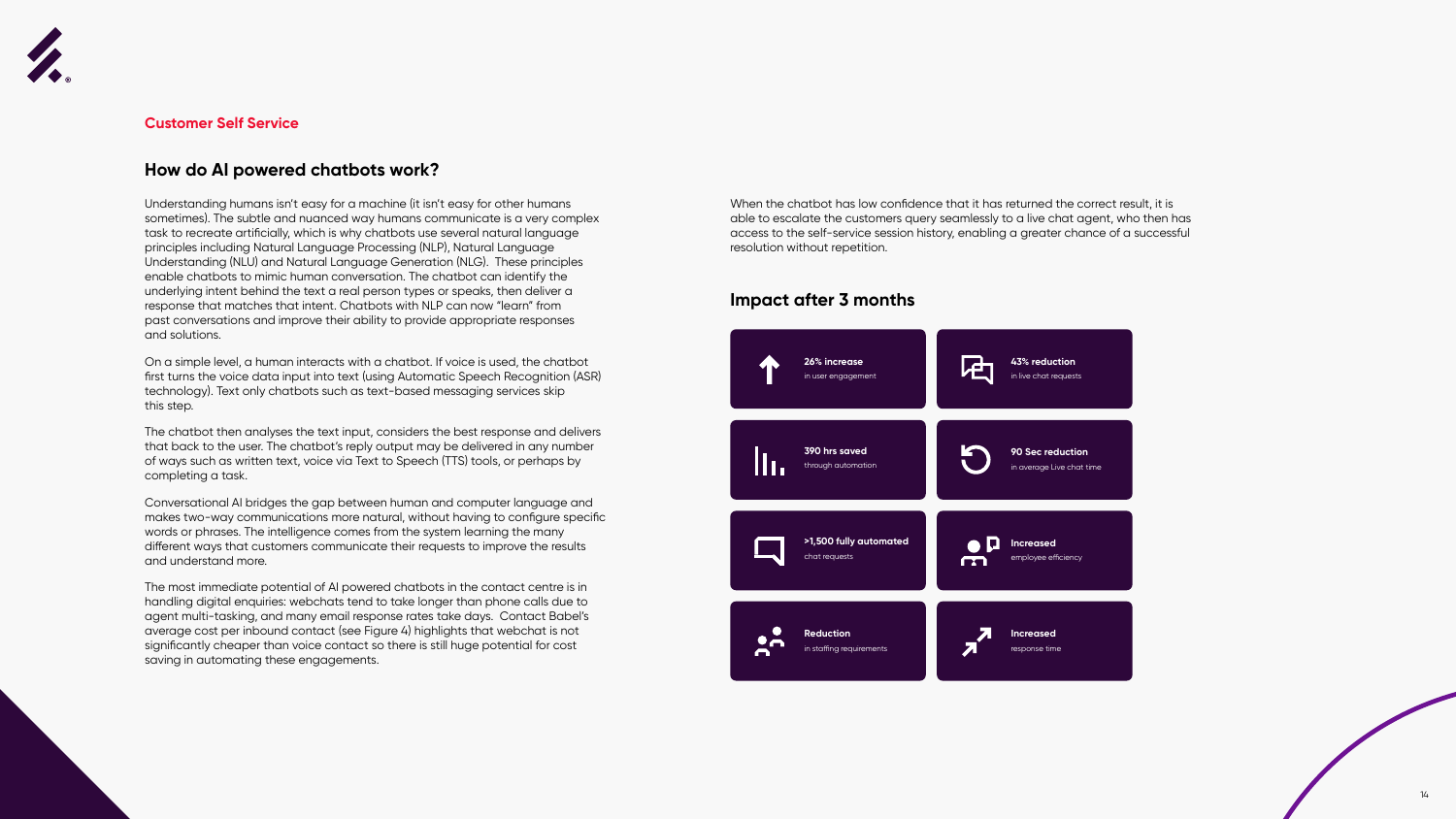



Understanding humans isn't easy for a machine (it isn't easy for other humans sometimes). The subtle and nuanced way humans communicate is a very complex task to recreate artificially, which is why chatbots use several natural language principles including Natural Language Processing (NLP), Natural Language Understanding (NLU) and Natural Language Generation (NLG). These principles enable chatbots to mimic human conversation. The chatbot can identify the underlying intent behind the text a real person types or speaks, then deliver a response that matches that intent. Chatbots with NLP can now "learn" from past conversations and improve their ability to provide appropriate responses and solutions.

On a simple level, a human interacts with a chatbot. If voice is used, the chatbot first turns the voice data input into text (using Automatic Speech Recognition (ASR) technology). Text only chatbots such as text-based messaging services skip this step.

The chatbot then analyses the text input, considers the best response and delivers that back to the user. The chatbot's reply output may be delivered in any number of ways such as written text, voice via Text to Speech (TTS) tools, or perhaps by completing a task.

Conversational AI bridges the gap between human and computer language and makes two-way communications more natural, without having to configure specific words or phrases. The intelligence comes from the system learning the many different ways that customers communicate their requests to improve the results and understand more.

The most immediate potential of AI powered chatbots in the contact centre is in handling digital enquiries: webchats tend to take longer than phone calls due to agent multi-tasking, and many email response rates take days. Contact Babel's average cost per inbound contact (see Figure 4) highlights that webchat is not significantly cheaper than voice contact so there is still huge potential for cost saving in automating these engagements.



#### **Customer Self Service**

#### **How do AI powered chatbots work?**

When the chatbot has low confidence that it has returned the correct result, it is able to escalate the customers query seamlessly to a live chat agent, who then has access to the self-service session history, enabling a greater chance of a successful resolution without repetition.

#### **Impact after 3 months**

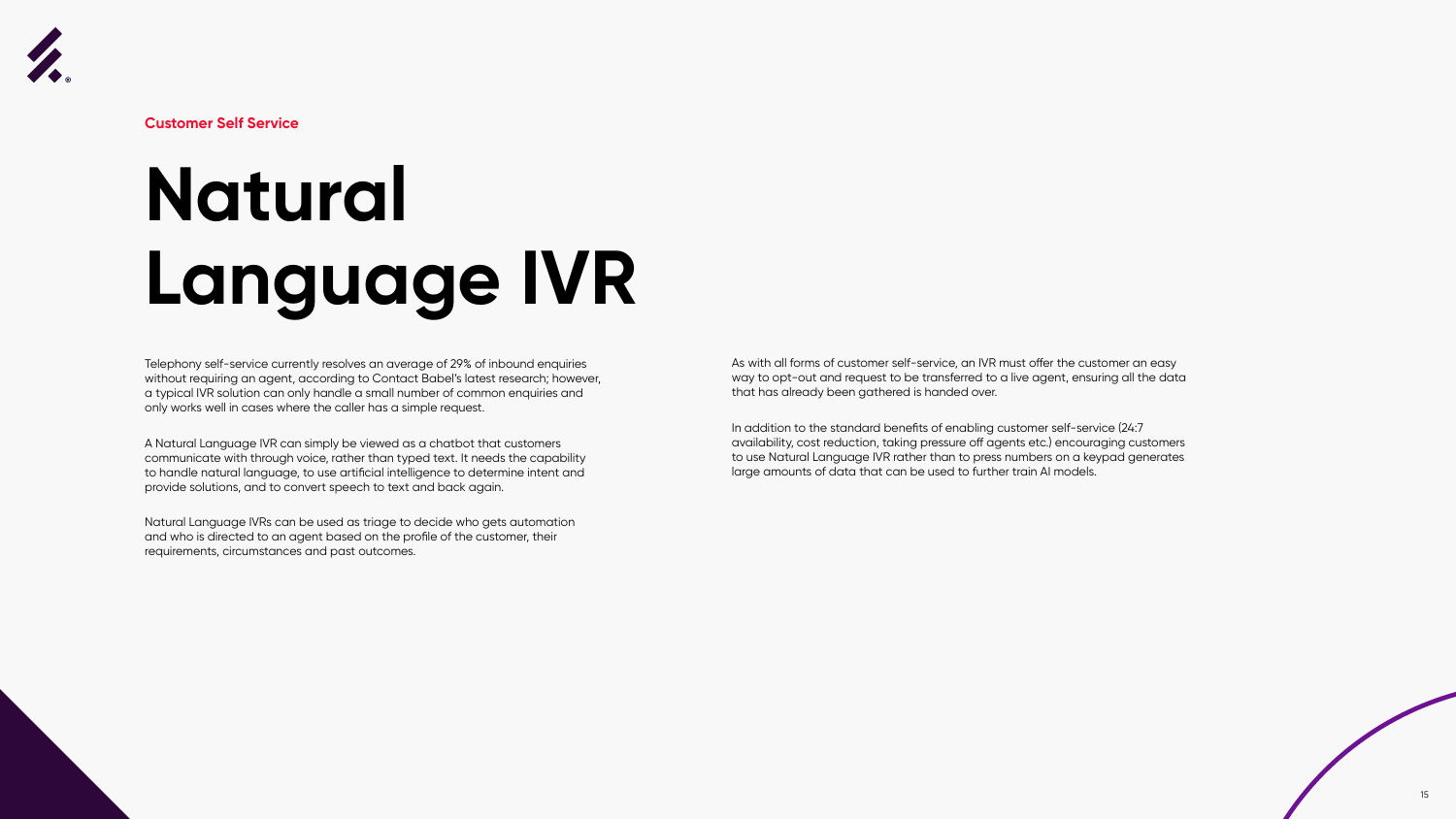



# **Natural Language IVR**

Telephony self-service currently resolves an average of 29% of inbound enquiries without requiring an agent, according to Contact Babel's latest research; however, a typical IVR solution can only handle a small number of common enquiries and only works well in cases where the caller has a simple request.

A Natural Language IVR can simply be viewed as a chatbot that customers communicate with through voice, rather than typed text. It needs the capability to handle natural language, to use artificial intelligence to determine intent and provide solutions, and to convert speech to text and back again.

Natural Language IVRs can be used as triage to decide who gets automation and who is directed to an agent based on the profile of the customer, their requirements, circumstances and past outcomes.

As with all forms of customer self-service, an IVR must offer the customer an easy way to opt-out and request to be transferred to a live agent, ensuring all the data that has already been gathered is handed over.

In addition to the standard benefits of enabling customer self-service (24:7 availability, cost reduction, taking pressure off agents etc.) encouraging customers to use Natural Language IVR rather than to press numbers on a keypad generates large amounts of data that can be used to further train AI models.



**Customer Self Service**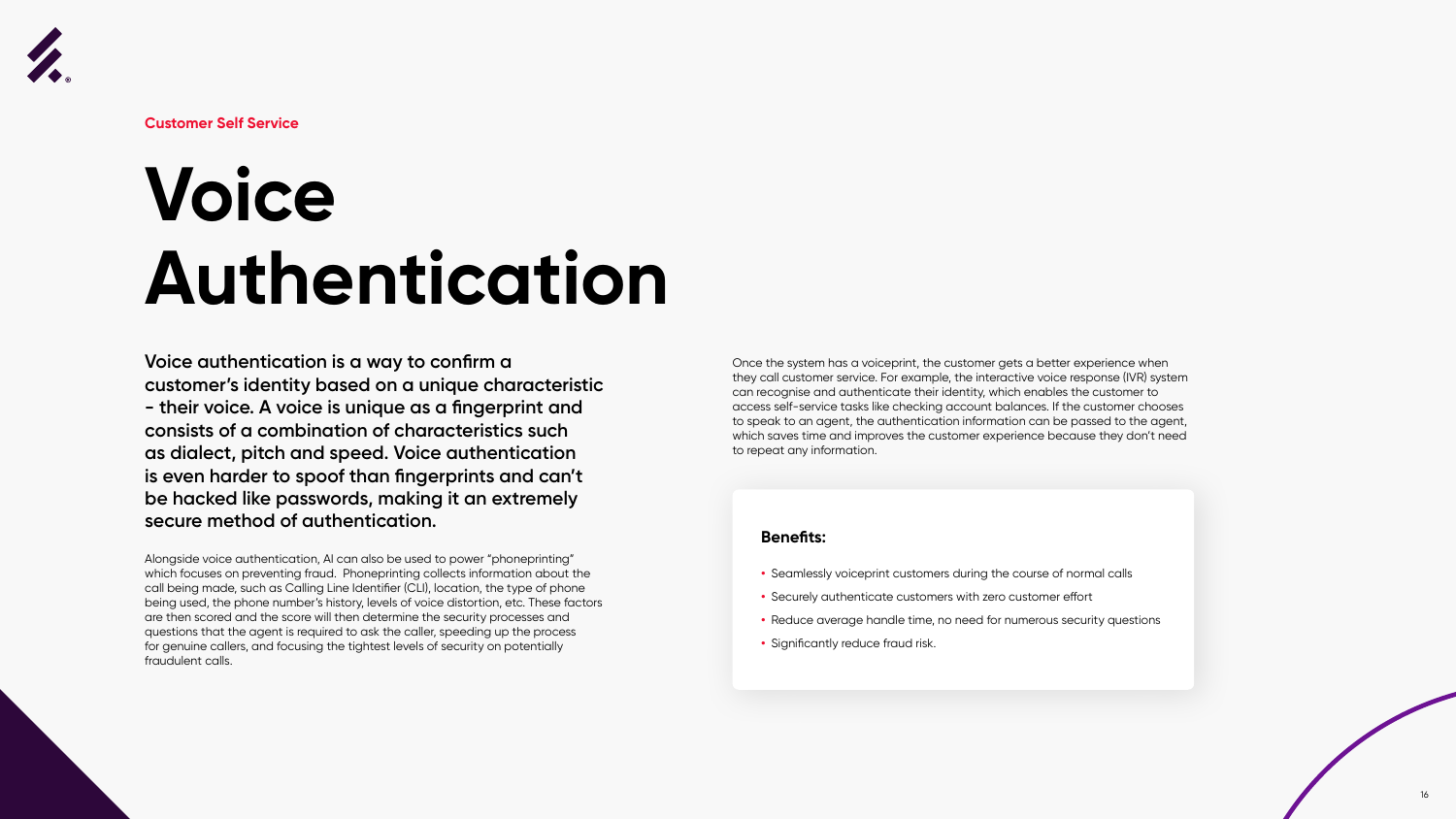

## **Voice Authentication**

**Voice authentication is a way to confirm a customer's identity based on a unique characteristic - their voice. A voice is unique as a fingerprint and consists of a combination of characteristics such as dialect, pitch and speed. Voice authentication is even harder to spoof than fingerprints and can't be hacked like passwords, making it an extremely secure method of authentication.** 

Alongside voice authentication, AI can also be used to power "phoneprinting" which focuses on preventing fraud. Phoneprinting collects information about the call being made, such as Calling Line Identifier (CLI), location, the type of phone being used, the phone number's history, levels of voice distortion, etc. These factors are then scored and the score will then determine the security processes and questions that the agent is required to ask the caller, speeding up the process for genuine callers, and focusing the tightest levels of security on potentially fraudulent calls.

Once the system has a voiceprint, the customer gets a better experience when they call customer service. For example, the interactive voice response (IVR) system can recognise and authenticate their identity, which enables the customer to access self-service tasks like checking account balances. If the customer chooses to speak to an agent, the authentication information can be passed to the agent, which saves time and improves the customer experience because they don't need to repeat any information.

#### **Benefits:**

- **•** Seamlessly voiceprint customers during the course of normal calls
- **•** Securely authenticate customers with zero customer effort
- **•** Reduce average handle time, no need for numerous security questions
- **•** Significantly reduce fraud risk.



**Customer Self Service**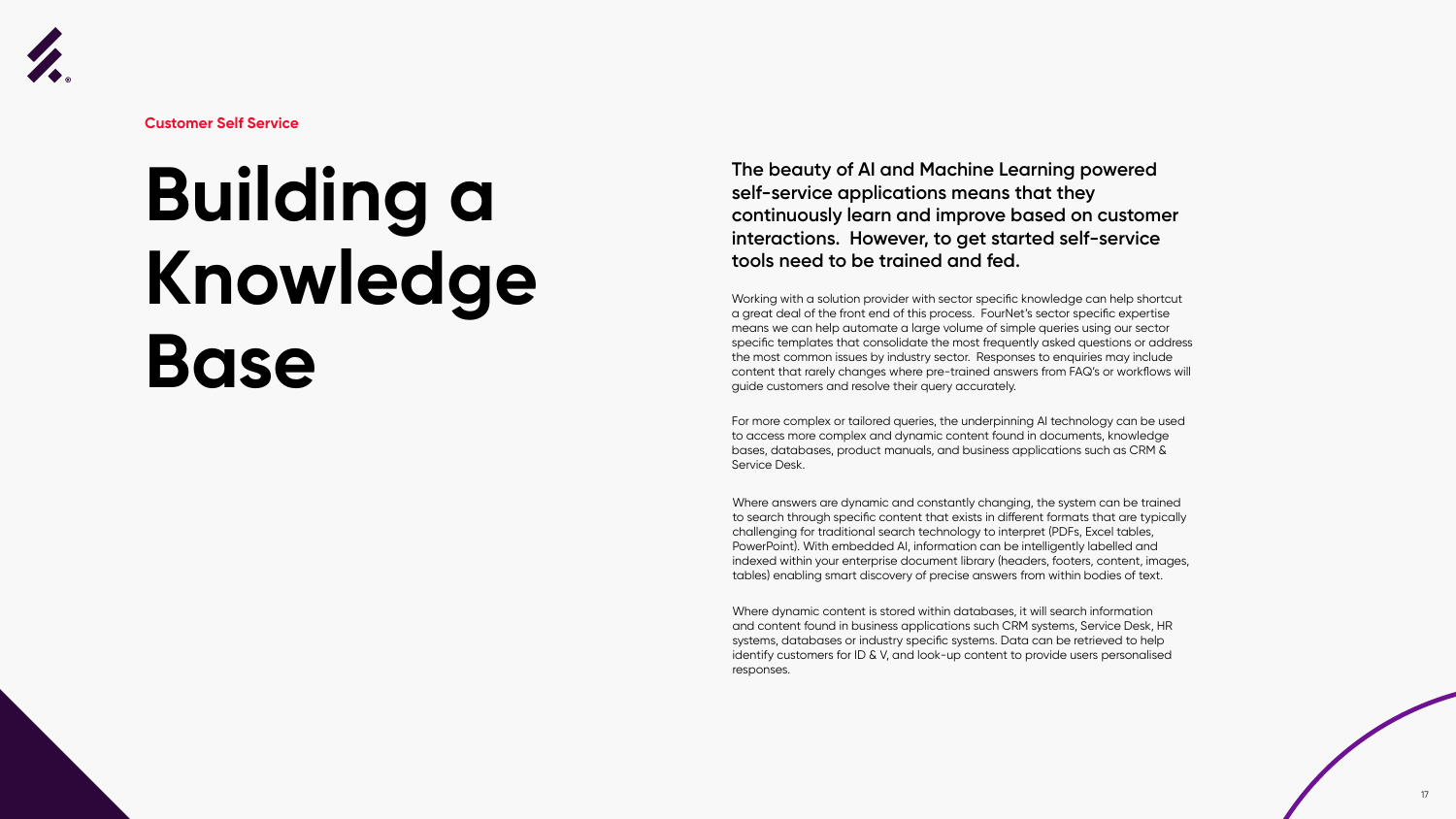



**Customer Self Service**

### **Building a Knowledge Base**

#### **The beauty of AI and Machine Learning powered self-service applications means that they continuously learn and improve based on customer interactions. However, to get started self-service tools need to be trained and fed.**

Working with a solution provider with sector specific knowledge can help shortcut a great deal of the front end of this process. FourNet's sector specific expertise means we can help automate a large volume of simple queries using our sector specific templates that consolidate the most frequently asked questions or address the most common issues by industry sector. Responses to enquiries may include content that rarely changes where pre-trained answers from FAQ's or workflows will guide customers and resolve their query accurately.

For more complex or tailored queries, the underpinning AI technology can be used to access more complex and dynamic content found in documents, knowledge bases, databases, product manuals, and business applications such as CRM & Service Desk.

Where answers are dynamic and constantly changing, the system can be trained to search through specific content that exists in different formats that are typically challenging for traditional search technology to interpret (PDFs, Excel tables, PowerPoint). With embedded AI, information can be intelligently labelled and indexed within your enterprise document library (headers, footers, content, images, tables) enabling smart discovery of precise answers from within bodies of text.

Where dynamic content is stored within databases, it will search information and content found in business applications such CRM systems, Service Desk, HR systems, databases or industry specific systems. Data can be retrieved to help identify customers for ID & V, and look-up content to provide users personalised responses.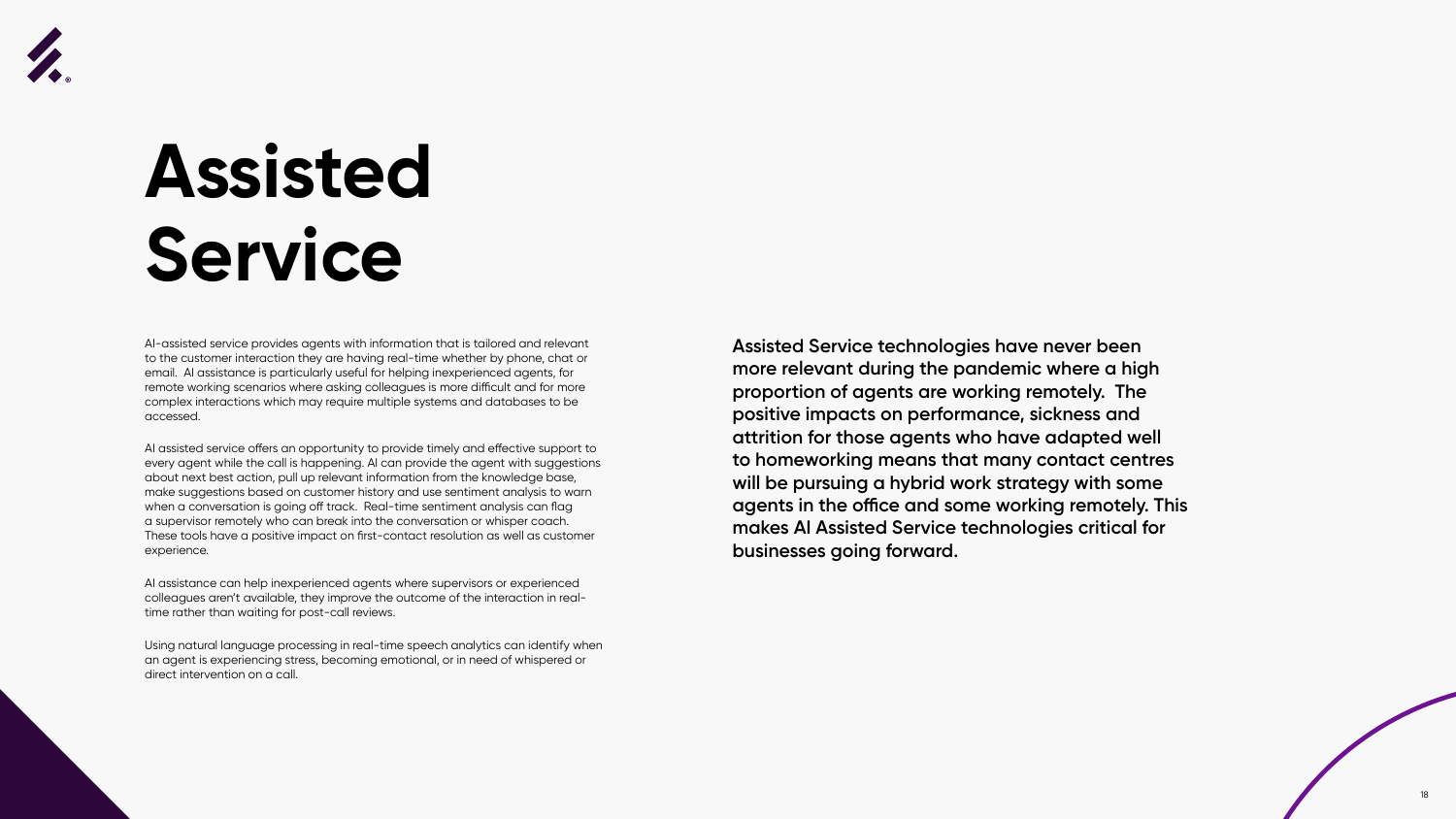





### **Assisted Service**

AI-assisted service provides agents with information that is tailored and relevant to the customer interaction they are having real-time whether by phone, chat or email. AI assistance is particularly useful for helping inexperienced agents, for remote working scenarios where asking colleagues is more difficult and for more complex interactions which may require multiple systems and databases to be accessed.

AI assisted service offers an opportunity to provide timely and effective support to every agent while the call is happening. AI can provide the agent with suggestions about next best action, pull up relevant information from the knowledge base, make suggestions based on customer history and use sentiment analysis to warn when a conversation is going off track. Real-time sentiment analysis can flag a supervisor remotely who can break into the conversation or whisper coach. These tools have a positive impact on first-contact resolution as well as customer experience.

AI assistance can help inexperienced agents where supervisors or experienced colleagues aren't available, they improve the outcome of the interaction in realtime rather than waiting for post-call reviews.

Using natural language processing in real-time speech analytics can identify when an agent is experiencing stress, becoming emotional, or in need of whispered or direct intervention on a call.

**Assisted Service technologies have never been more relevant during the pandemic where a high proportion of agents are working remotely. The positive impacts on performance, sickness and attrition for those agents who have adapted well to homeworking means that many contact centres will be pursuing a hybrid work strategy with some agents in the office and some working remotely. This makes AI Assisted Service technologies critical for businesses going forward.**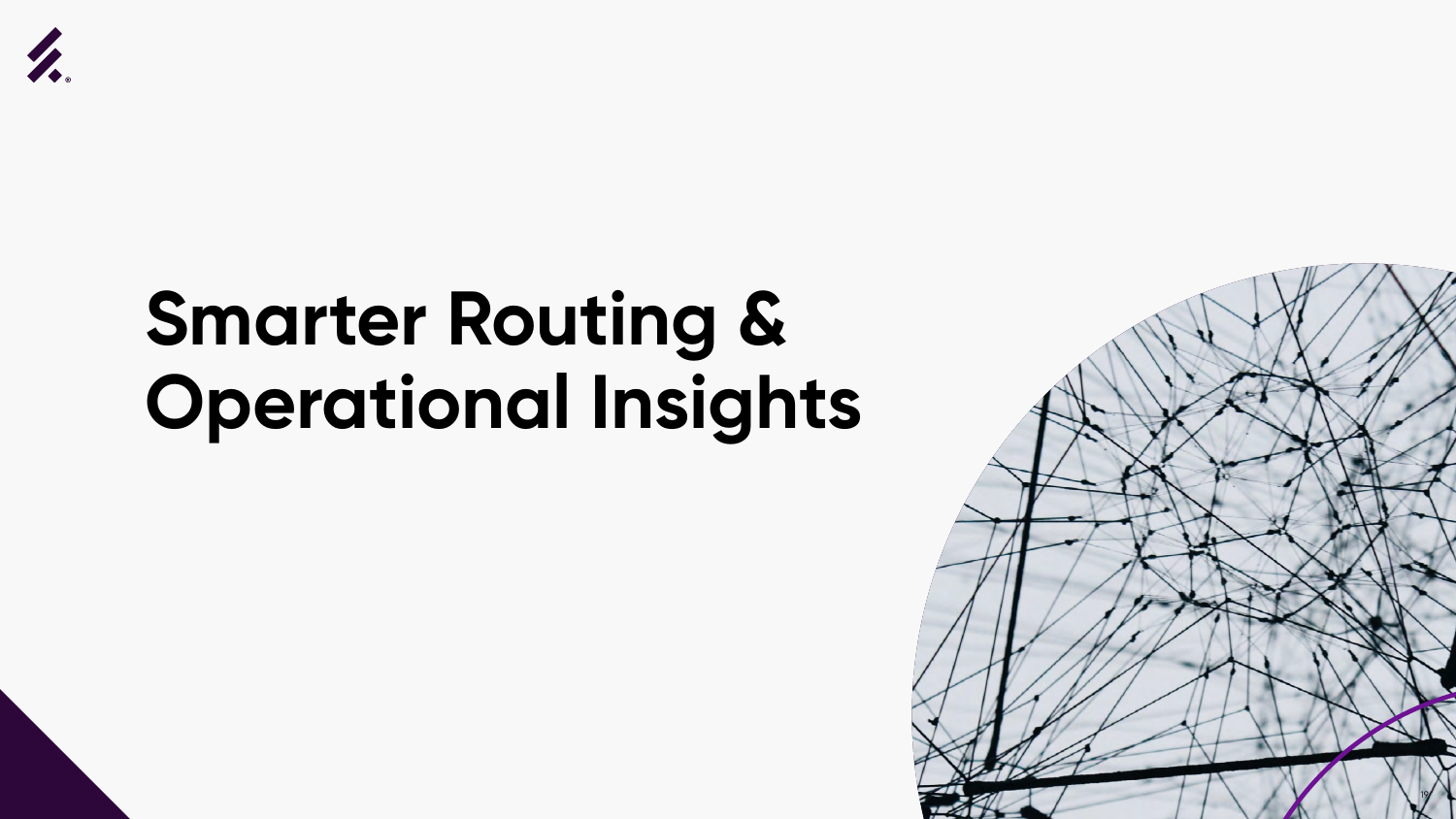

# **Smarter Routing & Operational Insights**

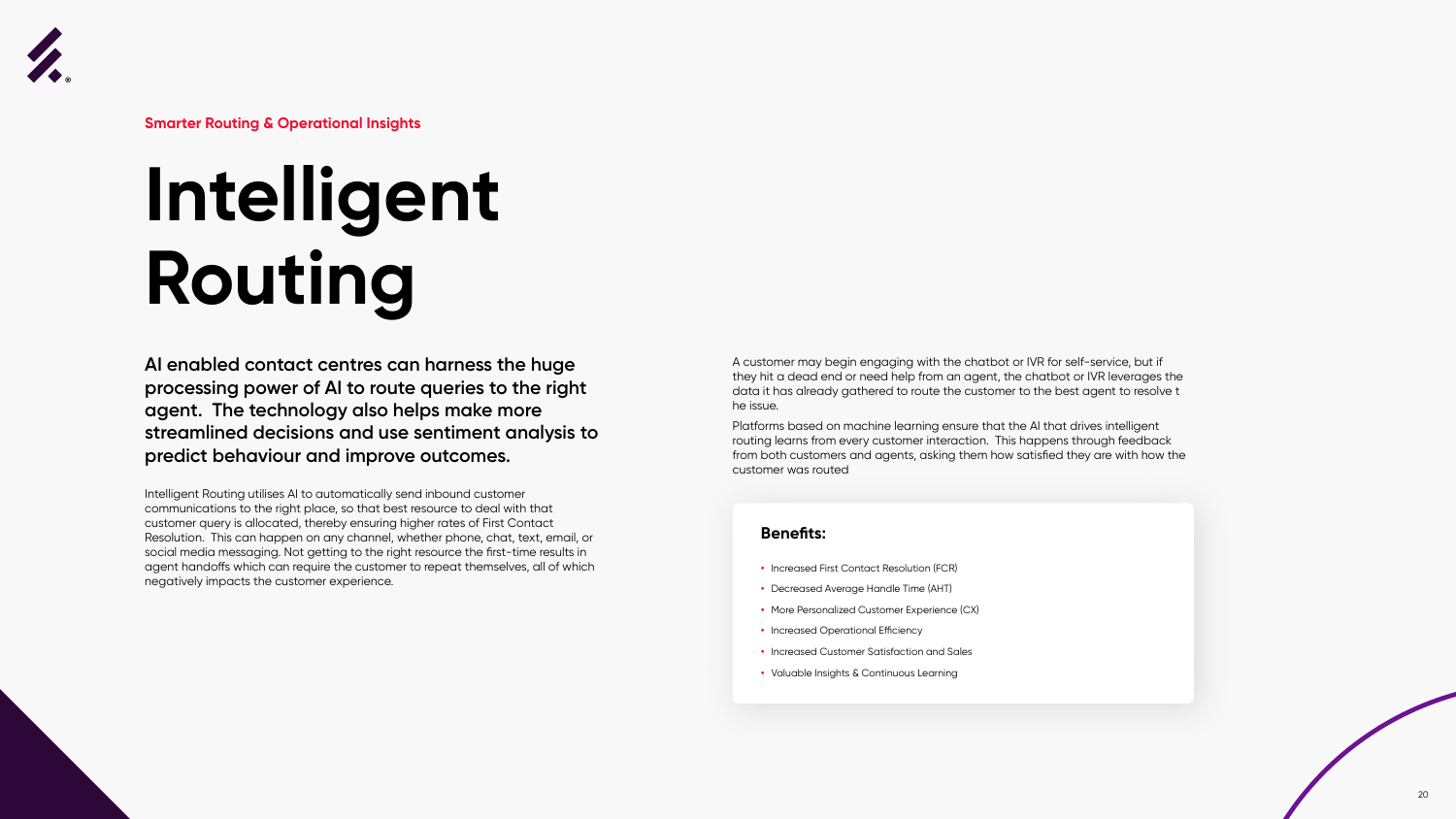

# **Intelligent Routing**

**AI enabled contact centres can harness the huge processing power of AI to route queries to the right agent. The technology also helps make more streamlined decisions and use sentiment analysis to predict behaviour and improve outcomes.** 

Intelligent Routing utilises AI to automatically send inbound customer communications to the right place, so that best resource to deal with that customer query is allocated, thereby ensuring higher rates of First Contact Resolution. This can happen on any channel, whether phone, chat, text, email, or social media messaging. Not getting to the right resource the first-time results in agent handoffs which can require the customer to repeat themselves, all of which negatively impacts the customer experience.

A customer may begin engaging with the chatbot or IVR for self-service, but if they hit a dead end or need help from an agent, the chatbot or IVR leverages the data it has already gathered to route the customer to the best agent to resolve t he issue.

Platforms based on machine learning ensure that the AI that drives intelligent routing learns from every customer interaction. This happens through feedback from both customers and agents, asking them how satisfied they are with how the customer was routed



**Smarter Routing & Operational Insights**

#### **Benefits:**

- **•** Increased First Contact Resolution (FCR)
- **•** Decreased Average Handle Time (AHT)
- **•** More Personalized Customer Experience (CX)
- **•** Increased Operational Efficiency
- **•** Increased Customer Satisfaction and Sales
- **•** Valuable Insights & Continuous Learning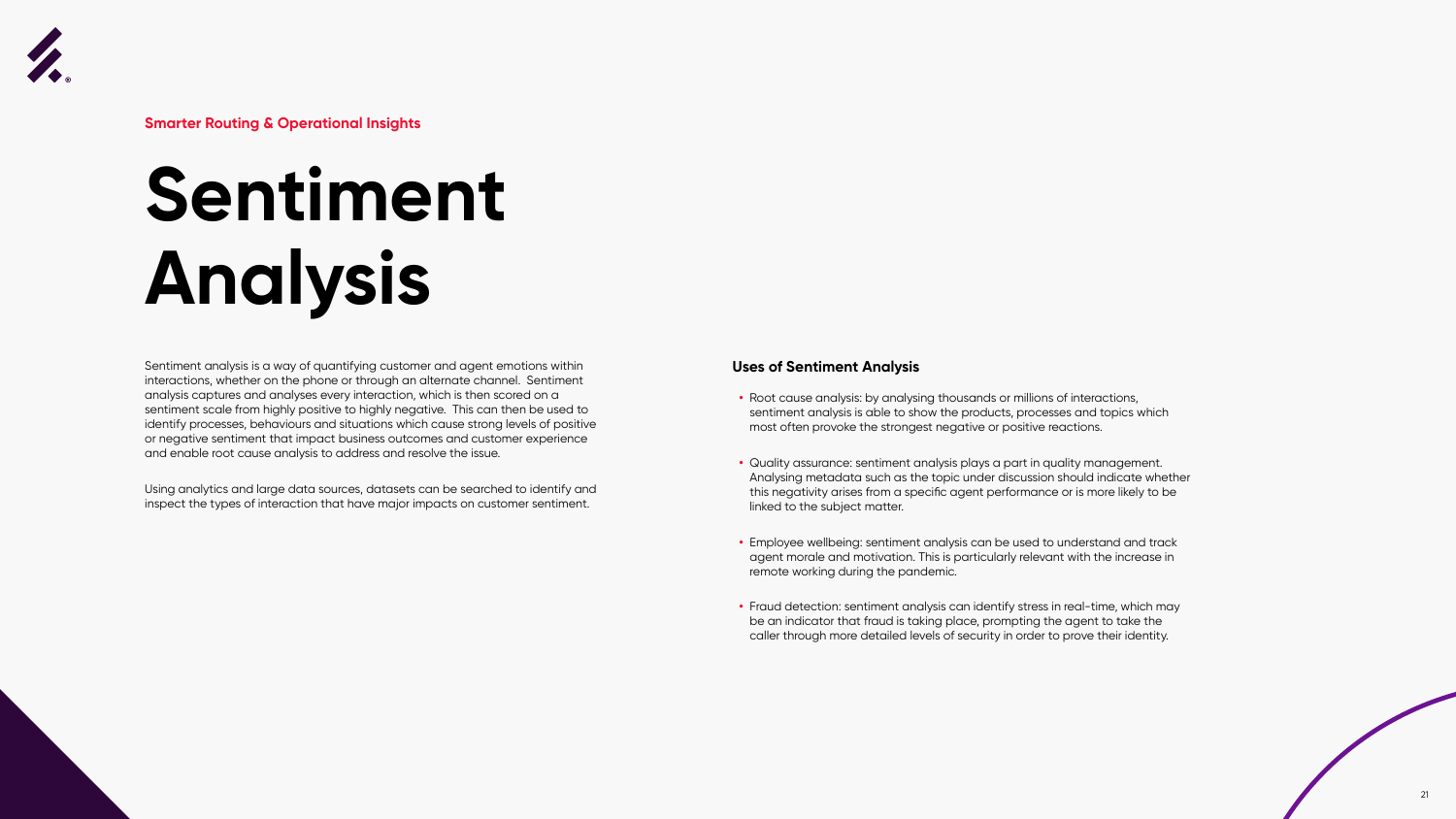# **Sentiment Analysis**

Sentiment analysis is a way of quantifying customer and agent emotions within interactions, whether on the phone or through an alternate channel. Sentiment analysis captures and analyses every interaction, which is then scored on a sentiment scale from highly positive to highly negative. This can then be used to identify processes, behaviours and situations which cause strong levels of positive or negative sentiment that impact business outcomes and customer experience and enable root cause analysis to address and resolve the issue.

Using analytics and large data sources, datasets can be searched to identify and inspect the types of interaction that have major impacts on customer sentiment.

#### **Uses of Sentiment Analysis**

- **•** Root cause analysis: by analysing thousands or millions of interactions, sentiment analysis is able to show the products, processes and topics which most often provoke the strongest negative or positive reactions.
- **•** Quality assurance: sentiment analysis plays a part in quality management. Analysing metadata such as the topic under discussion should indicate whether this negativity arises from a specific agent performance or is more likely to be linked to the subject matter.
- **•** Employee wellbeing: sentiment analysis can be used to understand and track agent morale and motivation. This is particularly relevant with the increase in remote working during the pandemic.
- **•** Fraud detection: sentiment analysis can identify stress in real-time, which may be an indicator that fraud is taking place, prompting the agent to take the caller through more detailed levels of security in order to prove their identity.





**Smarter Routing & Operational Insights**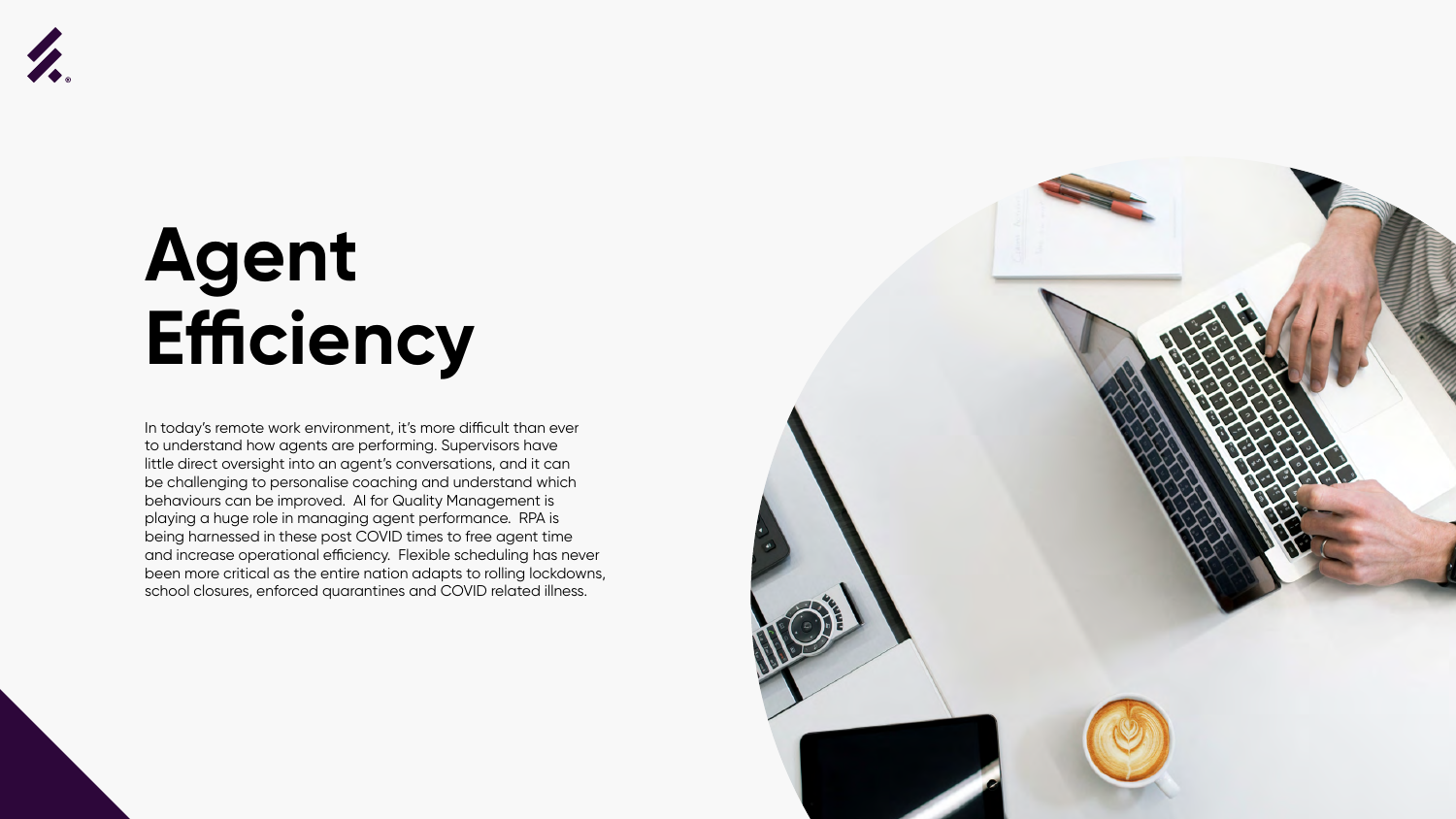



### **Agent Efficiency**

In today's remote work environment, it's more difficult than ever to understand how agents are performing. Supervisors have little direct oversight into an agent's conversations, and it can be challenging to personalise coaching and understand which behaviours can be improved. AI for Quality Management is playing a huge role in managing agent performance. RPA is being harnessed in these post COVID times to free agent time and increase operational efficiency. Flexible scheduling has never been more critical as the entire nation adapts to rolling lockdowns, school closures, enforced quarantines and COVID related illness.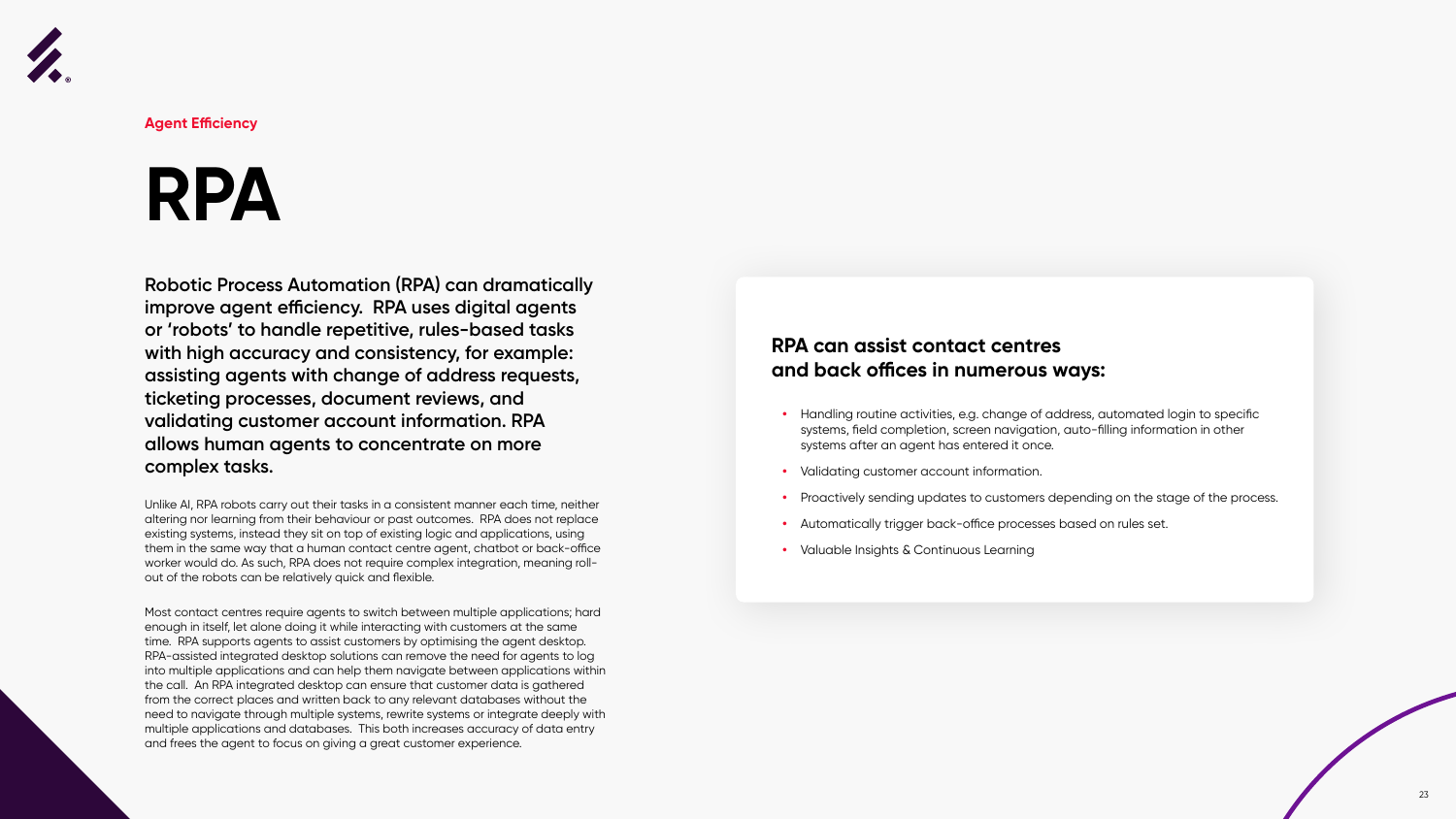

### **RPA**

**Robotic Process Automation (RPA) can dramatically improve agent efficiency. RPA uses digital agents or 'robots' to handle repetitive, rules-based tasks with high accuracy and consistency, for example: assisting agents with change of address requests, ticketing processes, document reviews, and validating customer account information. RPA allows human agents to concentrate on more complex tasks.**

Unlike AI, RPA robots carry out their tasks in a consistent manner each time, neither altering nor learning from their behaviour or past outcomes. RPA does not replace existing systems, instead they sit on top of existing logic and applications, using them in the same way that a human contact centre agent, chatbot or back-office worker would do. As such, RPA does not require complex integration, meaning rollout of the robots can be relatively quick and flexible.

Most contact centres require agents to switch between multiple applications; hard enough in itself, let alone doing it while interacting with customers at the same time. RPA supports agents to assist customers by optimising the agent desktop. RPA-assisted integrated desktop solutions can remove the need for agents to log into multiple applications and can help them navigate between applications within the call. An RPA integrated desktop can ensure that customer data is gathered from the correct places and written back to any relevant databases without the need to navigate through multiple systems, rewrite systems or integrate deeply with multiple applications and databases. This both increases accuracy of data entry and frees the agent to focus on giving a great customer experience.



**Agent Efficiency**

#### **RPA can assist contact centres and back offices in numerous ways:**

- **•** Handling routine activities, e.g. change of address, automated login to specific systems, field completion, screen navigation, auto-filling information in other systems after an agent has entered it once.
- **•** Validating customer account information.
- **•** Proactively sending updates to customers depending on the stage of the process.
- **•** Automatically trigger back-office processes based on rules set.
- **•** Valuable Insights & Continuous Learning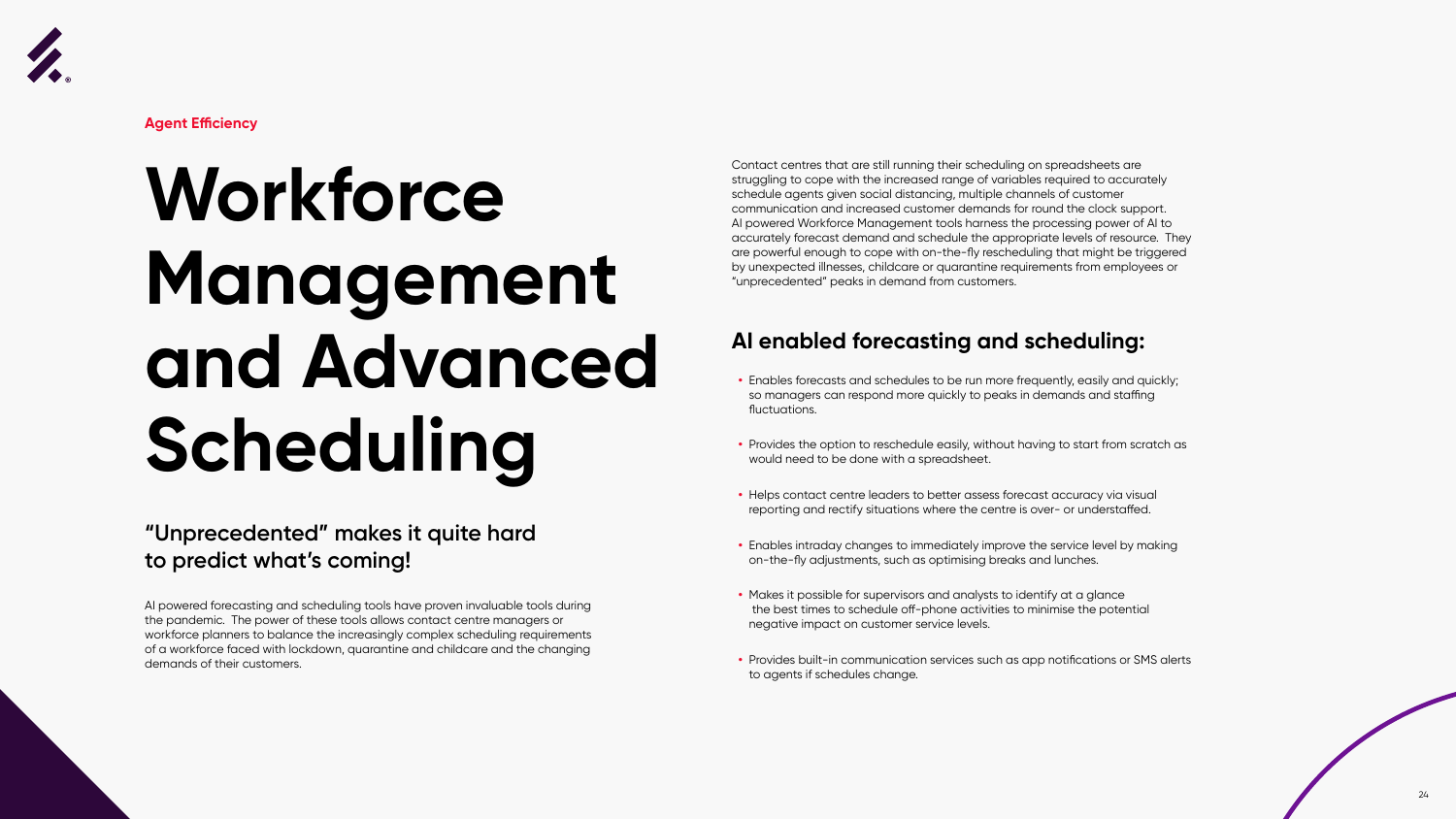



# **Workforce Management and Advanced Scheduling**

#### **"Unprecedented" makes it quite hard to predict what's coming!**

AI powered forecasting and scheduling tools have proven invaluable tools during the pandemic. The power of these tools allows contact centre managers or workforce planners to balance the increasingly complex scheduling requirements of a workforce faced with lockdown, quarantine and childcare and the changing demands of their customers.



**Agent Efficiency**

Contact centres that are still running their scheduling on spreadsheets are struggling to cope with the increased range of variables required to accurately schedule agents given social distancing, multiple channels of customer communication and increased customer demands for round the clock support. AI powered Workforce Management tools harness the processing power of AI to accurately forecast demand and schedule the appropriate levels of resource. They are powerful enough to cope with on-the-fly rescheduling that might be triggered by unexpected illnesses, childcare or quarantine requirements from employees or "unprecedented" peaks in demand from customers.

#### **AI enabled forecasting and scheduling:**

- **•** Enables forecasts and schedules to be run more frequently, easily and quickly; so managers can respond more quickly to peaks in demands and staffing fluctuations.
- **•** Provides the option to reschedule easily, without having to start from scratch as would need to be done with a spreadsheet.
- **•** Helps contact centre leaders to better assess forecast accuracy via visual reporting and rectify situations where the centre is over- or understaffed.
- **•** Enables intraday changes to immediately improve the service level by making on-the-fly adjustments, such as optimising breaks and lunches.
- **•** Makes it possible for supervisors and analysts to identify at a glance the best times to schedule off-phone activities to minimise the potential negative impact on customer service levels.
- **•** Provides built-in communication services such as app notifications or SMS alerts to agents if schedules change.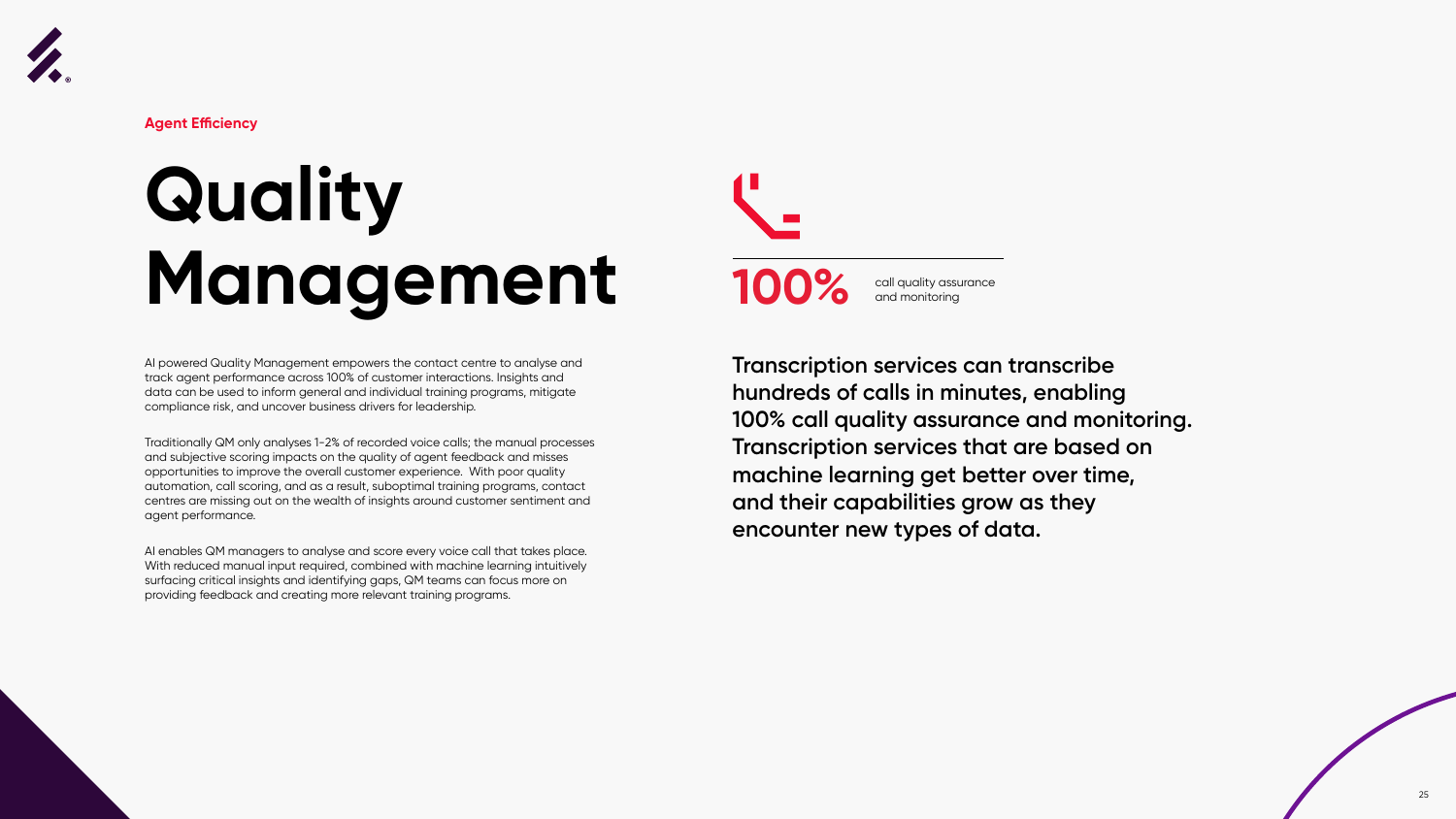

# **Quality Management**

AI powered Quality Management empowers the contact centre to analyse and track agent performance across 100% of customer interactions. Insights and data can be used to inform general and individual training programs, mitigate compliance risk, and uncover business drivers for leadership.

Traditionally QM only analyses 1-2% of recorded voice calls; the manual processes and subjective scoring impacts on the quality of agent feedback and misses opportunities to improve the overall customer experience. With poor quality automation, call scoring, and as a result, suboptimal training programs, contact centres are missing out on the wealth of insights around customer sentiment and agent performance.

AI enables QM managers to analyse and score every voice call that takes place. With reduced manual input required, combined with machine learning intuitively surfacing critical insights and identifying gaps, QM teams can focus more on providing feedback and creating more relevant training programs.



**Agent Efficiency**

**Transcription services can transcribe hundreds of calls in minutes, enabling 100% call quality assurance and monitoring. Transcription services that are based on machine learning get better over time, and their capabilities grow as they encounter new types of data.** 



call quality assurance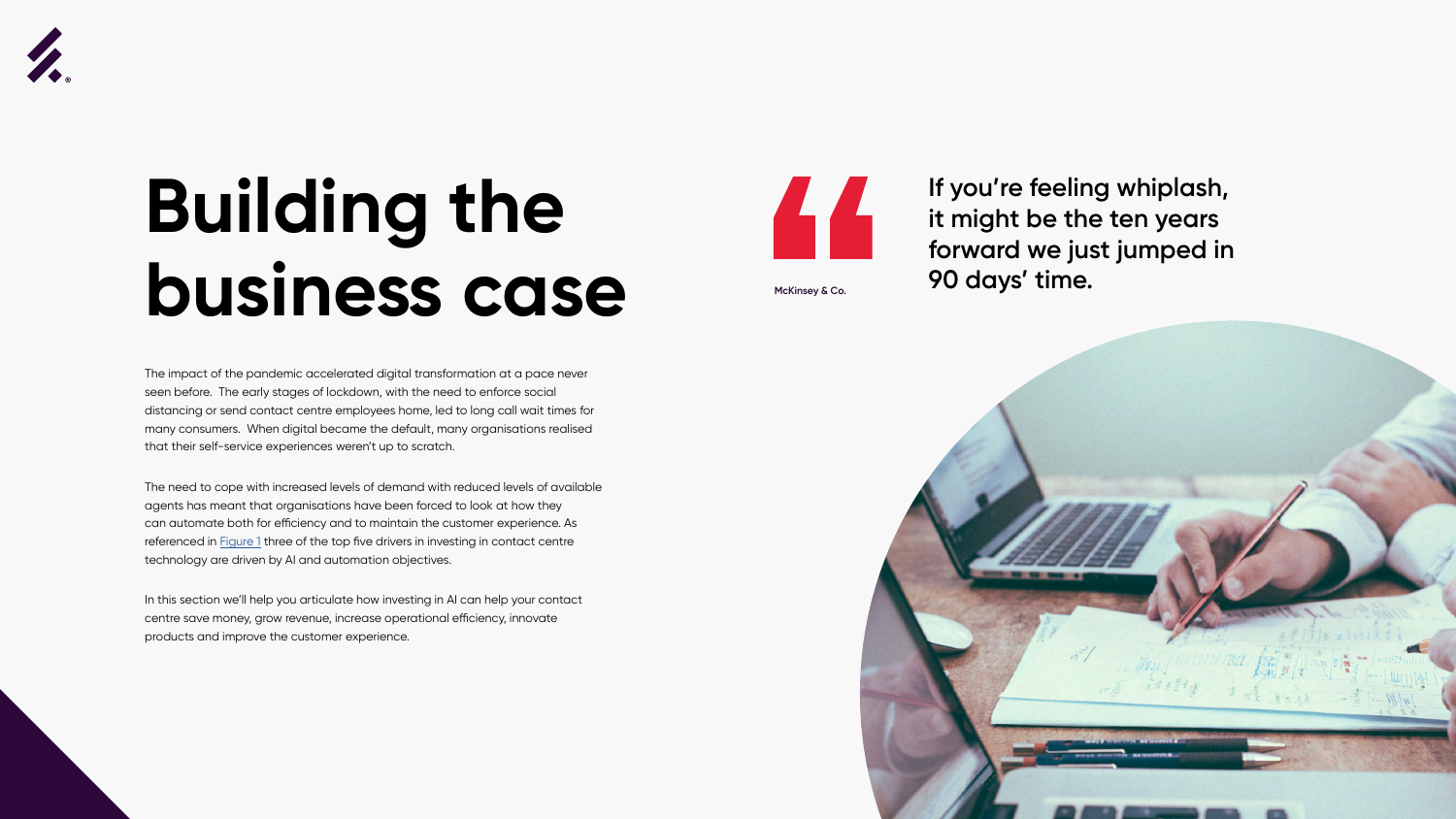



### **Building the business case**

The impact of the pandemic accelerated digital transformation at a pace never seen before. The early stages of lockdown, with the need to enforce social distancing or send contact centre employees home, led to long call wait times for many consumers. When digital became the default, many organisations realised that their self-service experiences weren't up to scratch.

**If you're feeling whiplash, it might be the ten years forward we just jumped in 90 days' time. McKinsey & Co.** 

The need to cope with increased levels of demand with reduced levels of available agents has meant that organisations have been forced to look at how they can automate both for efficiency and to maintain the customer experience. As referenced in **Figure 1** three of the top five drivers in investing in contact centre technology are driven by AI and automation objectives.

In this section we'll help you articulate how investing in AI can help your contact centre save money, grow revenue, increase operational efficiency, innovate products and improve the customer experience.

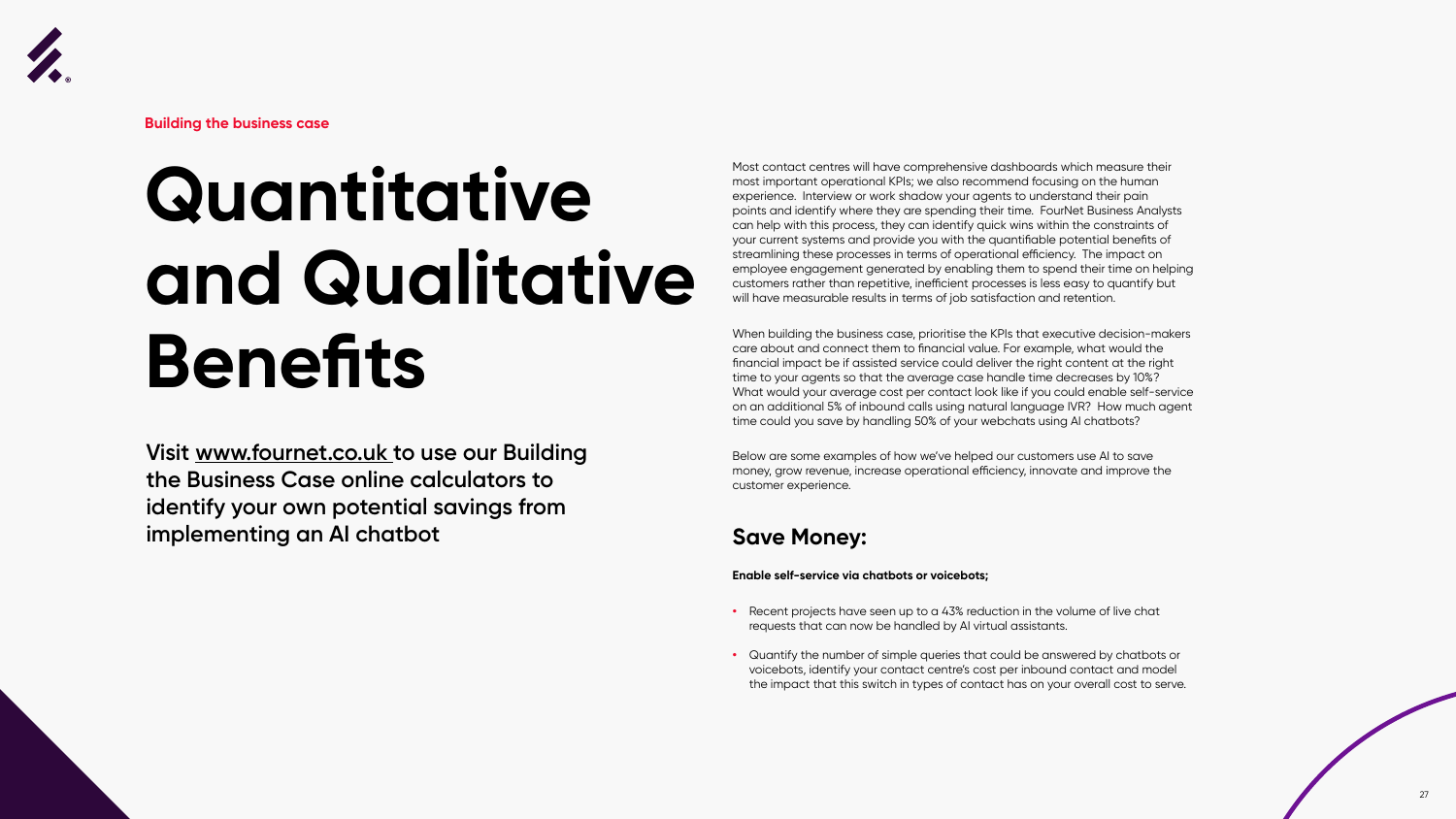



## **Quantitative and Qualitative Benefits**

Most contact centres will have comprehensive dashboards which measure their most important operational KPIs; we also recommend focusing on the human experience. Interview or work shadow your agents to understand their pain points and identify where they are spending their time. FourNet Business Analysts can help with this process, they can identify quick wins within the constraints of your current systems and provide you with the quantifiable potential benefits of streamlining these processes in terms of operational efficiency. The impact on employee engagement generated by enabling them to spend their time on helping customers rather than repetitive, inefficient processes is less easy to quantify but will have measurable results in terms of job satisfaction and retention.

When building the business case, prioritise the KPIs that executive decision-makers care about and connect them to financial value. For example, what would the financial impact be if assisted service could deliver the right content at the right time to your agents so that the average case handle time decreases by 10%? What would your average cost per contact look like if you could enable self-service on an additional 5% of inbound calls using natural language IVR? How much agent time could you save by handling 50% of your webchats using AI chatbots?

Below are some examples of how we've helped our customers use AI to save money, grow revenue, increase operational efficiency, innovate and improve the customer experience.

#### **Save Money:**

#### **Enable self-service via chatbots or voicebots;**

- **•** Recent projects have seen up to a 43% reduction in the volume of live chat requests that can now be handled by AI virtual assistants.
- **•** Quantify the number of simple queries that could be answered by chatbots or voicebots, identify your contact centre's cost per inbound contact and model the impact that this switch in types of contact has on your overall cost to serve.



**Building the business case**

**Visit www.fournet.co.uk to use our Building the Business Case online calculators to identify your own potential savings from implementing an AI chatbot**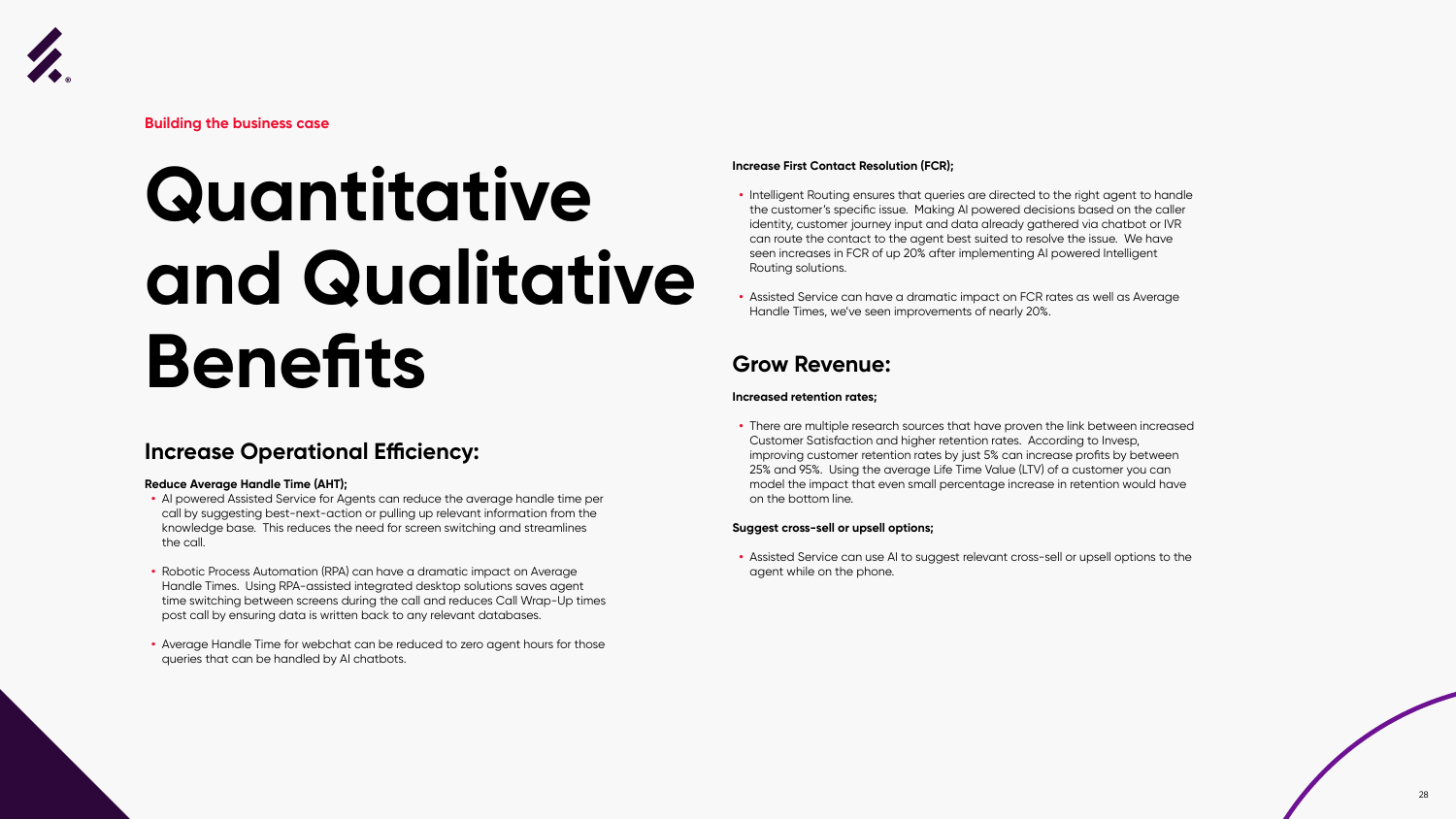



## **Quantitative and Qualitative Benefits**

#### **Increase Operational Efficiency:**

#### **Reduce Average Handle Time (AHT);**

- **•** AI powered Assisted Service for Agents can reduce the average handle time per call by suggesting best-next-action or pulling up relevant information from the knowledge base. This reduces the need for screen switching and streamlines the call.
- **•** Robotic Process Automation (RPA) can have a dramatic impact on Average Handle Times. Using RPA-assisted integrated desktop solutions saves agent time switching between screens during the call and reduces Call Wrap-Up times post call by ensuring data is written back to any relevant databases.
- **•** Average Handle Time for webchat can be reduced to zero agent hours for those queries that can be handled by AI chatbots.



**Building the business case**

#### **Increase First Contact Resolution (FCR);**

- **•** Intelligent Routing ensures that queries are directed to the right agent to handle the customer's specific issue. Making AI powered decisions based on the caller identity, customer journey input and data already gathered via chatbot or IVR can route the contact to the agent best suited to resolve the issue. We have seen increases in FCR of up 20% after implementing AI powered Intelligent Routing solutions.
- **•** Assisted Service can have a dramatic impact on FCR rates as well as Average Handle Times, we've seen improvements of nearly 20%.

#### **Grow Revenue:**

#### **Increased retention rates;**

**•** There are multiple research sources that have proven the link between increased Customer Satisfaction and higher retention rates. According to Invesp, improving customer retention rates by just 5% can increase profits by between 25% and 95%. Using the average Life Time Value (LTV) of a customer you can model the impact that even small percentage increase in retention would have on the bottom line.

#### **Suggest cross-sell or upsell options;**

**•** Assisted Service can use AI to suggest relevant cross-sell or upsell options to the agent while on the phone.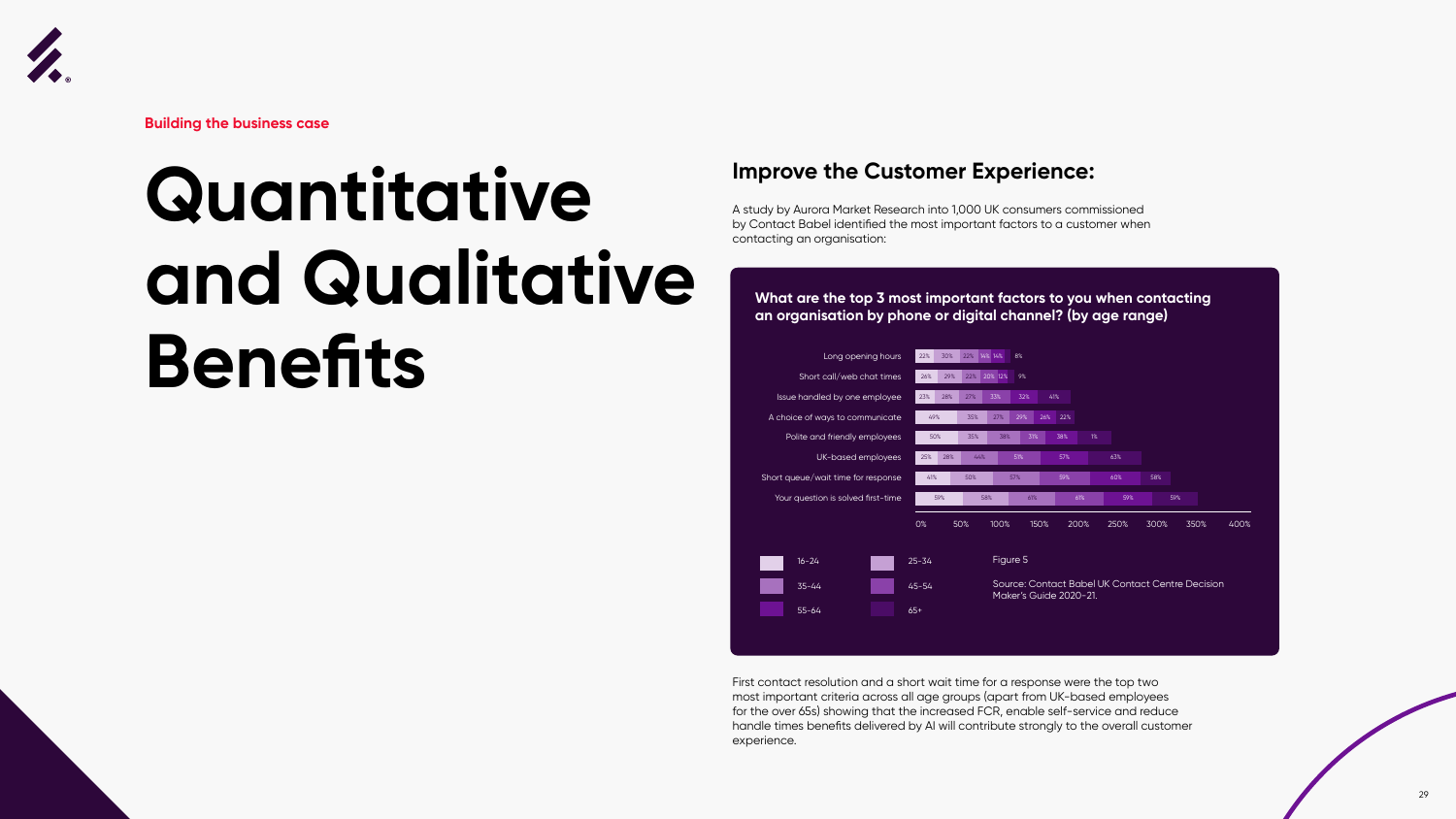



## **Quantitative and Qualitative Benefits**



**Building the business case**

#### **Improve the Customer Experience:**

A study by Aurora Market Research into 1,000 UK consumers commissioned by Contact Babel identified the most important factors to a customer when contacting an organisation:

First contact resolution and a short wait time for a response were the top two most important criteria across all age groups (apart from UK-based employees for the over 65s) showing that the increased FCR, enable self-service and reduce handle times benefits delivered by AI will contribute strongly to the overall customer experience.

#### **What are the top 3 most important factors to you when contacting an organisation by phone or digital channel? (by age range)**

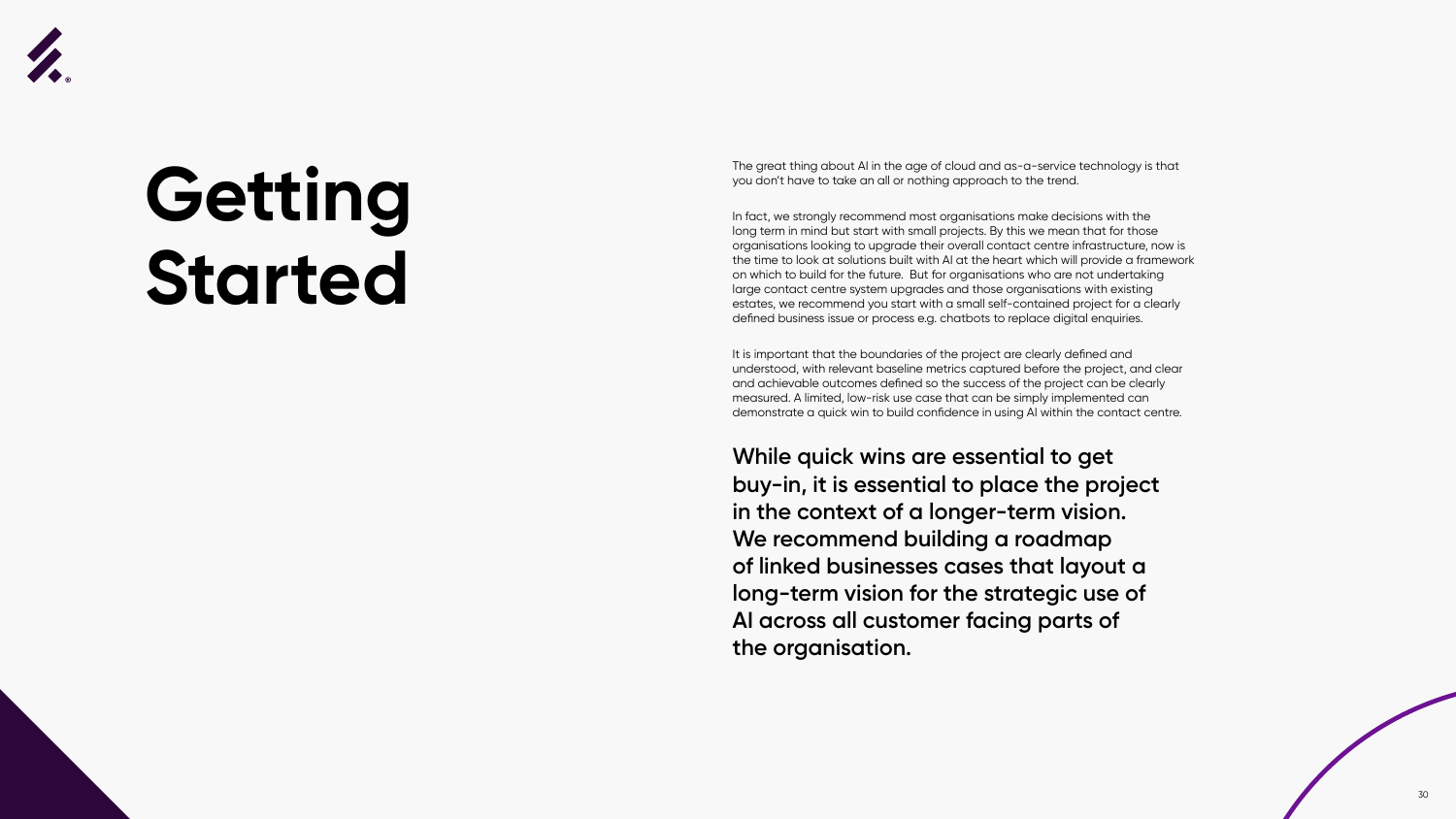![](_page_30_Picture_6.jpeg)

![](_page_30_Picture_7.jpeg)

![](_page_30_Picture_0.jpeg)

### **Getting Started**

The great thing about AI in the age of cloud and as-a-service technology is that you don't have to take an all or nothing approach to the trend.

In fact, we strongly recommend most organisations make decisions with the long term in mind but start with small projects. By this we mean that for those organisations looking to upgrade their overall contact centre infrastructure, now is the time to look at solutions built with AI at the heart which will provide a framework on which to build for the future. But for organisations who are not undertaking large contact centre system upgrades and those organisations with existing estates, we recommend you start with a small self-contained project for a clearly defined business issue or process e.g. chatbots to replace digital enquiries.

It is important that the boundaries of the project are clearly defined and understood, with relevant baseline metrics captured before the project, and clear and achievable outcomes defined so the success of the project can be clearly measured. A limited, low-risk use case that can be simply implemented can demonstrate a quick win to build confidence in using AI within the contact centre.

**While quick wins are essential to get buy-in, it is essential to place the project in the context of a longer-term vision. We recommend building a roadmap of linked businesses cases that layout a long-term vision for the strategic use of AI across all customer facing parts of the organisation.**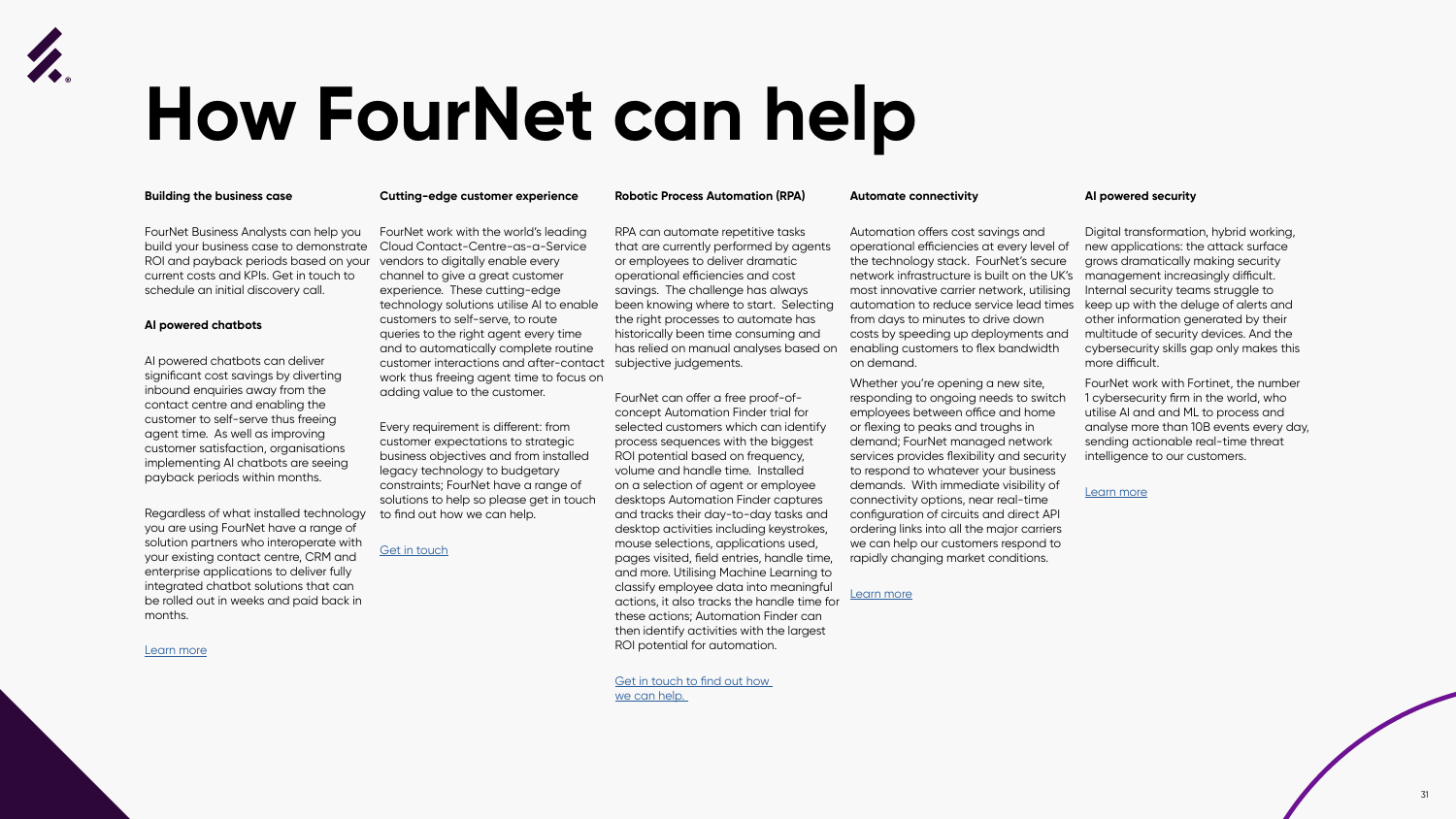![](_page_31_Picture_0.jpeg)

# **How FourNet can help**

![](_page_31_Picture_21.jpeg)

#### **Building the business case**

FourNet Business Analysts can help you build your business case to demonstrate ROI and payback periods based on your current costs and KPIs. Get in touch to schedule an initial discovery call.

#### **AI powered chatbots**

AI powered chatbots can deliver significant cost savings by diverting inbound enquiries away from the contact centre and enabling the customer to self-serve thus freeing agent time. As well as improving customer satisfaction, organisations implementing AI chatbots are seeing payback periods within months.

Regardless of what installed technology you are using FourNet have a range of solution partners who interoperate with your existing contact centre, CRM and enterprise applications to deliver fully integrated chatbot solutions that can be rolled out in weeks and paid back in months.

[Learn more](https://fournet.co.uk/solutions-and-services/ai-chatbots/ )

#### **Cutting-edge customer experience**

FourNet work with the world's leading Cloud Contact-Centre-as-a-Service vendors to digitally enable every channel to give a great customer experience. These cutting-edge technology solutions utilise AI to enable customers to self-serve, to route queries to the right agent every time and to automatically complete routine customer interactions and after-contact work thus freeing agent time to focus on adding value to the customer.

Every requirement is different: from customer expectations to strategic business objectives and from installed legacy technology to budgetary constraints; FourNet have a range of solutions to help so please get in touch to find out how we can help.

#### [Get in touch](https://fournet.co.uk/contact/)

#### **Robotic Process Automation (RPA)**

[we can help.](https://fournet.co.uk/contact/) 

#### **Automate connectivity**

FourNet can offer a free proof-ofconcept Automation Finder trial for selected customers which can identify process sequences with the biggest ROI potential based on frequency, volume and handle time. Installed on a selection of agent or employee desktops Automation Finder captures and tracks their day-to-day tasks and desktop activities including keystrokes, mouse selections, applications used, pages visited, field entries, handle time, and more. Utilising Machine Learning to classify employee data into meaningful actions, it also tracks the handle time for these actions; Automation Finder can then identify activities with the largest ROI potential for automation. Whether you're opening a new site, responding to ongoing needs to switch employees between office and home or flexing to peaks and troughs in demand; FourNet managed network services provides flexibility and security to respond to whatever your business demands. With immediate visibility of connectivity options, near real-time configuration of circuits and direct API ordering links into all the major carriers we can help our customers respond to rapidly changing market conditions. [Learn more](https://fournet.co.uk/solutions-and-services/secure-network-infrastructure/)

RPA can automate repetitive tasks that are currently performed by agents or employees to deliver dramatic operational efficiencies and cost savings. The challenge has always been knowing where to start. Selecting the right processes to automate has historically been time consuming and has relied on manual analyses based on subjective judgements. Automation offers cost savings and operational efficiencies at every level of the technology stack. FourNet's secure network infrastructure is built on the UK's most innovative carrier network, utilising automation to reduce service lead times from days to minutes to drive down costs by speeding up deployments and enabling customers to flex bandwidth on demand. Digital transformation, hybrid working, new applications: the attack surface grows dramatically making security management increasingly difficult. Internal security teams struggle to keep up with the deluge of alerts and other information generated by their multitude of security devices. And the cybersecurity skills gap only makes this more difficult.

#### **AI powered security**

FourNet work with Fortinet, the number 1 cybersecurity firm in the world, who utilise AI and and ML to process and analyse more than 10B events every day, sending actionable real-time threat intelligence to our customers.

#### [Learn more](https://partnerportal.fortinet.com/English/)

Get in touch to find out how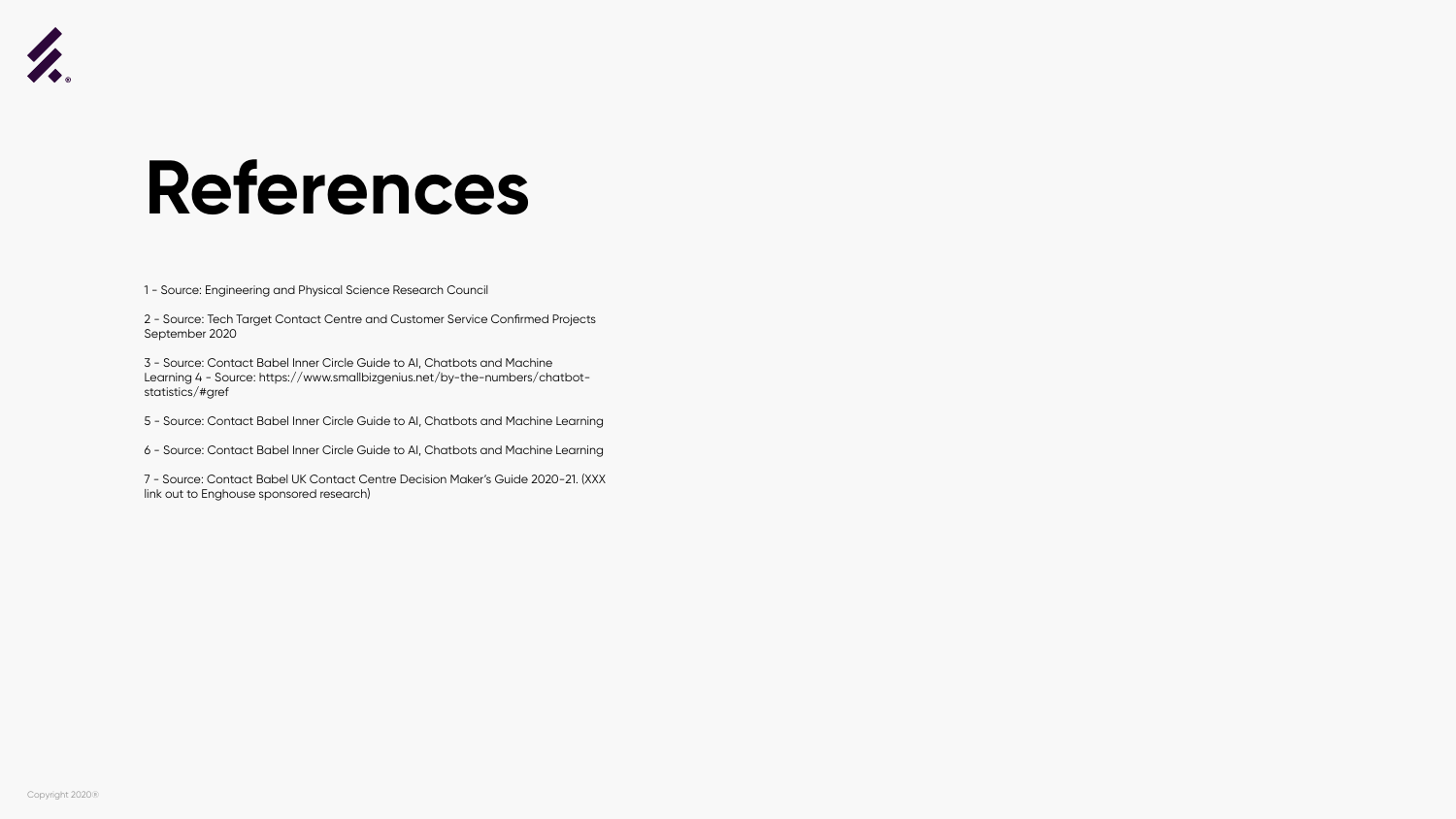![](_page_32_Picture_0.jpeg)

### **References**

1 - Source: Engineering and Physical Science Research Council

2 - Source: Tech Target Contact Centre and Customer Service Confirmed Projects September 2020

3 - Source: Contact Babel Inner Circle Guide to AI, Chatbots and Machine Learning 4 - Source: https://www.smallbizgenius.net/by-the-numbers/chatbotstatistics/#gref

5 - Source: Contact Babel Inner Circle Guide to AI, Chatbots and Machine Learning

6 - Source: Contact Babel Inner Circle Guide to AI, Chatbots and Machine Learning

7 - Source: Contact Babel UK Contact Centre Decision Maker's Guide 2020-21. (XXX link out to Enghouse sponsored research)